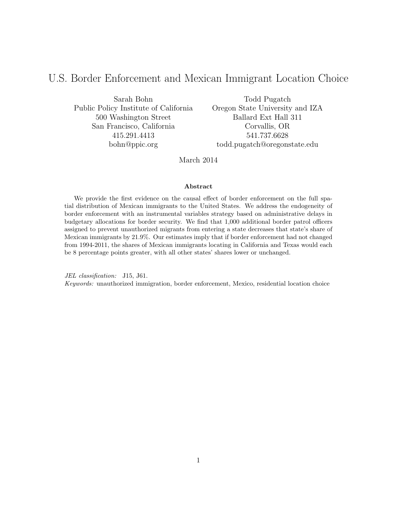# U.S. Border Enforcement and Mexican Immigrant Location Choice

Sarah Bohn Public Policy Institute of California 500 Washington Street San Francisco, California 415.291.4413 bohn@ppic.org

Todd Pugatch Oregon State University and IZA Ballard Ext Hall 311 Corvallis, OR 541.737.6628 todd.pugatch@oregonstate.edu

March 2014

#### Abstract

We provide the first evidence on the causal effect of border enforcement on the full spatial distribution of Mexican immigrants to the United States. We address the endogeneity of border enforcement with an instrumental variables strategy based on administrative delays in budgetary allocations for border security. We find that 1,000 additional border patrol officers assigned to prevent unauthorized migrants from entering a state decreases that state's share of Mexican immigrants by 21.9%. Our estimates imply that if border enforcement had not changed from 1994-2011, the shares of Mexican immigrants locating in California and Texas would each be 8 percentage points greater, with all other states' shares lower or unchanged.

JEL classification: J15, J61. Keywords: unauthorized immigration, border enforcement, Mexico, residential location choice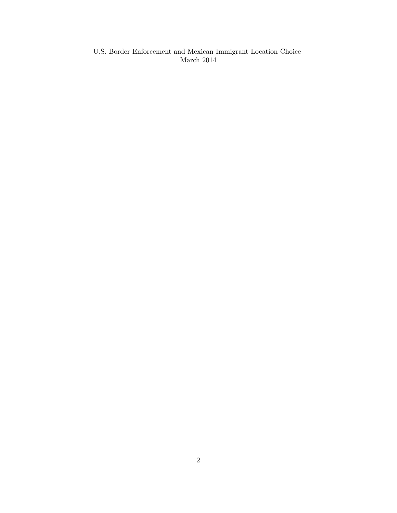U.S. Border Enforcement and Mexican Immigrant Location Choice March 2014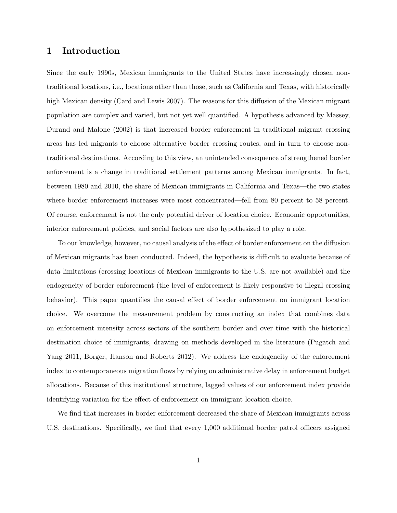# 1 Introduction

Since the early 1990s, Mexican immigrants to the United States have increasingly chosen nontraditional locations, i.e., locations other than those, such as California and Texas, with historically high Mexican density (Card and Lewis 2007). The reasons for this diffusion of the Mexican migrant population are complex and varied, but not yet well quantified. A hypothesis advanced by Massey, Durand and Malone (2002) is that increased border enforcement in traditional migrant crossing areas has led migrants to choose alternative border crossing routes, and in turn to choose nontraditional destinations. According to this view, an unintended consequence of strengthened border enforcement is a change in traditional settlement patterns among Mexican immigrants. In fact, between 1980 and 2010, the share of Mexican immigrants in California and Texas—the two states where border enforcement increases were most concentrated—fell from 80 percent to 58 percent. Of course, enforcement is not the only potential driver of location choice. Economic opportunities, interior enforcement policies, and social factors are also hypothesized to play a role.

To our knowledge, however, no causal analysis of the effect of border enforcement on the diffusion of Mexican migrants has been conducted. Indeed, the hypothesis is difficult to evaluate because of data limitations (crossing locations of Mexican immigrants to the U.S. are not available) and the endogeneity of border enforcement (the level of enforcement is likely responsive to illegal crossing behavior). This paper quantifies the causal effect of border enforcement on immigrant location choice. We overcome the measurement problem by constructing an index that combines data on enforcement intensity across sectors of the southern border and over time with the historical destination choice of immigrants, drawing on methods developed in the literature (Pugatch and Yang 2011, Borger, Hanson and Roberts 2012). We address the endogeneity of the enforcement index to contemporaneous migration flows by relying on administrative delay in enforcement budget allocations. Because of this institutional structure, lagged values of our enforcement index provide identifying variation for the effect of enforcement on immigrant location choice.

We find that increases in border enforcement decreased the share of Mexican immigrants across U.S. destinations. Specifically, we find that every 1,000 additional border patrol officers assigned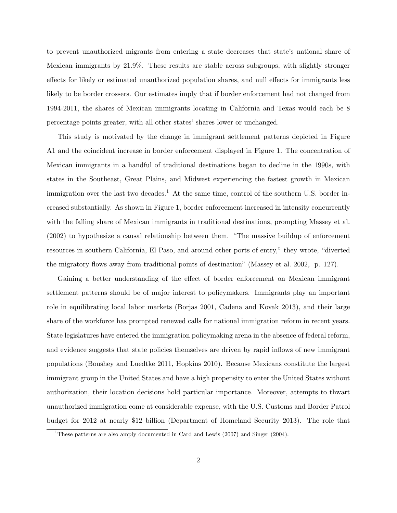to prevent unauthorized migrants from entering a state decreases that state's national share of Mexican immigrants by 21.9%. These results are stable across subgroups, with slightly stronger effects for likely or estimated unauthorized population shares, and null effects for immigrants less likely to be border crossers. Our estimates imply that if border enforcement had not changed from 1994-2011, the shares of Mexican immigrants locating in California and Texas would each be 8 percentage points greater, with all other states' shares lower or unchanged.

This study is motivated by the change in immigrant settlement patterns depicted in Figure [A1](#page-41-0) and the coincident increase in border enforcement displayed in Figure [1.](#page-37-0) The concentration of Mexican immigrants in a handful of traditional destinations began to decline in the 1990s, with states in the Southeast, Great Plains, and Midwest experiencing the fastest growth in Mexican immigration over the last two decades.<sup>[1](#page-3-0)</sup> At the same time, control of the southern U.S. border increased substantially. As shown in Figure [1,](#page-37-0) border enforcement increased in intensity concurrently with the falling share of Mexican immigrants in traditional destinations, prompting Massey et al. (2002) to hypothesize a causal relationship between them. "The massive buildup of enforcement resources in southern California, El Paso, and around other ports of entry," they wrote, "diverted the migratory flows away from traditional points of destination" (Massey et al. 2002, p. 127).

Gaining a better understanding of the effect of border enforcement on Mexican immigrant settlement patterns should be of major interest to policymakers. Immigrants play an important role in equilibrating local labor markets (Borjas 2001, Cadena and Kovak 2013), and their large share of the workforce has prompted renewed calls for national immigration reform in recent years. State legislatures have entered the immigration policymaking arena in the absence of federal reform, and evidence suggests that state policies themselves are driven by rapid inflows of new immigrant populations (Boushey and Luedtke 2011, Hopkins 2010). Because Mexicans constitute the largest immigrant group in the United States and have a high propensity to enter the United States without authorization, their location decisions hold particular importance. Moreover, attempts to thwart unauthorized immigration come at considerable expense, with the U.S. Customs and Border Patrol budget for 2012 at nearly \$12 billion (Department of Homeland Security 2013). The role that

<span id="page-3-0"></span><sup>&</sup>lt;sup>1</sup>These patterns are also amply documented in Card and Lewis  $(2007)$  and Singer  $(2004)$ .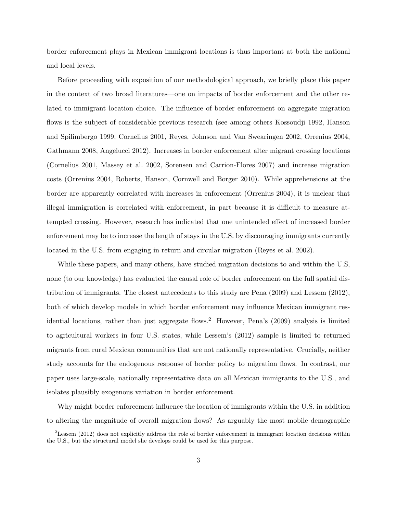border enforcement plays in Mexican immigrant locations is thus important at both the national and local levels.

Before proceeding with exposition of our methodological approach, we briefly place this paper in the context of two broad literatures—one on impacts of border enforcement and the other related to immigrant location choice. The influence of border enforcement on aggregate migration flows is the subject of considerable previous research (see among others Kossoudji 1992, Hanson and Spilimbergo 1999, Cornelius 2001, Reyes, Johnson and Van Swearingen 2002, Orrenius 2004, Gathmann 2008, Angelucci 2012). Increases in border enforcement alter migrant crossing locations (Cornelius 2001, Massey et al. 2002, Sorensen and Carrion-Flores 2007) and increase migration costs (Orrenius 2004, Roberts, Hanson, Cornwell and Borger 2010). While apprehensions at the border are apparently correlated with increases in enforcement (Orrenius 2004), it is unclear that illegal immigration is correlated with enforcement, in part because it is difficult to measure attempted crossing. However, research has indicated that one unintended effect of increased border enforcement may be to increase the length of stays in the U.S. by discouraging immigrants currently located in the U.S. from engaging in return and circular migration (Reyes et al. 2002).

While these papers, and many others, have studied migration decisions to and within the U.S, none (to our knowledge) has evaluated the causal role of border enforcement on the full spatial distribution of immigrants. The closest antecedents to this study are Pena (2009) and Lessem (2012), both of which develop models in which border enforcement may influence Mexican immigrant res-idential locations, rather than just aggregate flows.<sup>[2](#page-4-0)</sup> However, Pena's  $(2009)$  analysis is limited to agricultural workers in four U.S. states, while Lessem's (2012) sample is limited to returned migrants from rural Mexican communities that are not nationally representative. Crucially, neither study accounts for the endogenous response of border policy to migration flows. In contrast, our paper uses large-scale, nationally representative data on all Mexican immigrants to the U.S., and isolates plausibly exogenous variation in border enforcement.

Why might border enforcement influence the location of immigrants within the U.S. in addition to altering the magnitude of overall migration flows? As arguably the most mobile demographic

<span id="page-4-0"></span><sup>&</sup>lt;sup>2</sup>Lessem (2012) does not explicitly address the role of border enforcement in immigrant location decisions within the U.S., but the structural model she develops could be used for this purpose.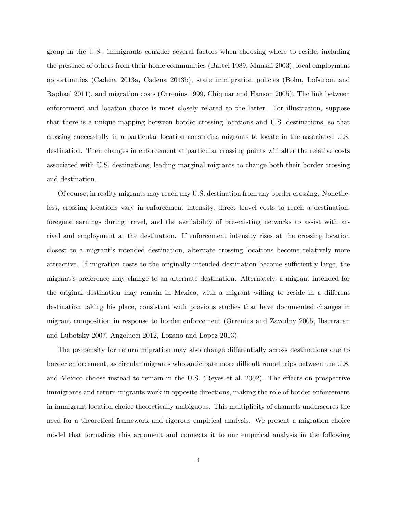group in the U.S., immigrants consider several factors when choosing where to reside, including the presence of others from their home communities (Bartel 1989, Munshi 2003), local employment opportunities (Cadena 2013a, Cadena 2013b), state immigration policies (Bohn, Lofstrom and Raphael 2011), and migration costs (Orrenius 1999, Chiquiar and Hanson 2005). The link between enforcement and location choice is most closely related to the latter. For illustration, suppose that there is a unique mapping between border crossing locations and U.S. destinations, so that crossing successfully in a particular location constrains migrants to locate in the associated U.S. destination. Then changes in enforcement at particular crossing points will alter the relative costs associated with U.S. destinations, leading marginal migrants to change both their border crossing and destination.

Of course, in reality migrants may reach any U.S. destination from any border crossing. Nonetheless, crossing locations vary in enforcement intensity, direct travel costs to reach a destination, foregone earnings during travel, and the availability of pre-existing networks to assist with arrival and employment at the destination. If enforcement intensity rises at the crossing location closest to a migrant's intended destination, alternate crossing locations become relatively more attractive. If migration costs to the originally intended destination become sufficiently large, the migrant's preference may change to an alternate destination. Alternately, a migrant intended for the original destination may remain in Mexico, with a migrant willing to reside in a different destination taking his place, consistent with previous studies that have documented changes in migrant composition in response to border enforcement (Orrenius and Zavodny 2005, Ibarrraran and Lubotsky 2007, Angelucci 2012, Lozano and Lopez 2013).

The propensity for return migration may also change differentially across destinations due to border enforcement, as circular migrants who anticipate more difficult round trips between the U.S. and Mexico choose instead to remain in the U.S. (Reyes et al. 2002). The effects on prospective immigrants and return migrants work in opposite directions, making the role of border enforcement in immigrant location choice theoretically ambiguous. This multiplicity of channels underscores the need for a theoretical framework and rigorous empirical analysis. We present a migration choice model that formalizes this argument and connects it to our empirical analysis in the following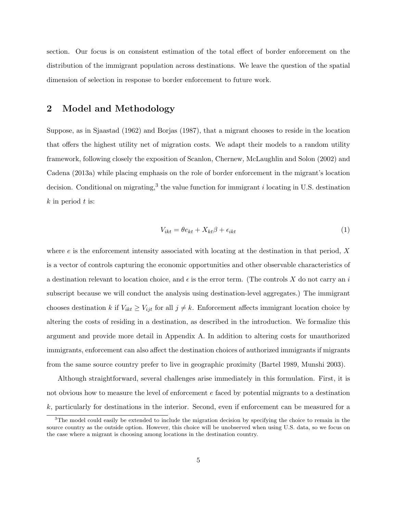section. Our focus is on consistent estimation of the total effect of border enforcement on the distribution of the immigrant population across destinations. We leave the question of the spatial dimension of selection in response to border enforcement to future work.

### <span id="page-6-2"></span>2 Model and Methodology

Suppose, as in Sjaastad (1962) and Borjas (1987), that a migrant chooses to reside in the location that offers the highest utility net of migration costs. We adapt their models to a random utility framework, following closely the exposition of Scanlon, Chernew, McLaughlin and Solon (2002) and Cadena (2013a) while placing emphasis on the role of border enforcement in the migrant's location decision. Conditional on migrating,<sup>[3](#page-6-0)</sup> the value function for immigrant *i* locating in U.S. destination  $k$  in period  $t$  is:

<span id="page-6-1"></span>
$$
V_{ikt} = \theta e_{kt} + X_{kt}\beta + \epsilon_{ikt} \tag{1}
$$

where  $e$  is the enforcement intensity associated with locating at the destination in that period, X is a vector of controls capturing the economic opportunities and other observable characteristics of a destination relevant to location choice, and  $\epsilon$  is the error term. (The controls X do not carry an i subscript because we will conduct the analysis using destination-level aggregates.) The immigrant chooses destination k if  $V_{ikt} \geq V_{ijt}$  for all  $j \neq k$ . Enforcement affects immigrant location choice by altering the costs of residing in a destination, as described in the introduction. We formalize this argument and provide more detail in Appendix [A.](#page-26-0) In addition to altering costs for unauthorized immigrants, enforcement can also affect the destination choices of authorized immigrants if migrants from the same source country prefer to live in geographic proximity (Bartel 1989, Munshi 2003).

Although straightforward, several challenges arise immediately in this formulation. First, it is not obvious how to measure the level of enforcement e faced by potential migrants to a destination k, particularly for destinations in the interior. Second, even if enforcement can be measured for a

<span id="page-6-0"></span><sup>&</sup>lt;sup>3</sup>The model could easily be extended to include the migration decision by specifying the choice to remain in the source country as the outside option. However, this choice will be unobserved when using U.S. data, so we focus on the case where a migrant is choosing among locations in the destination country.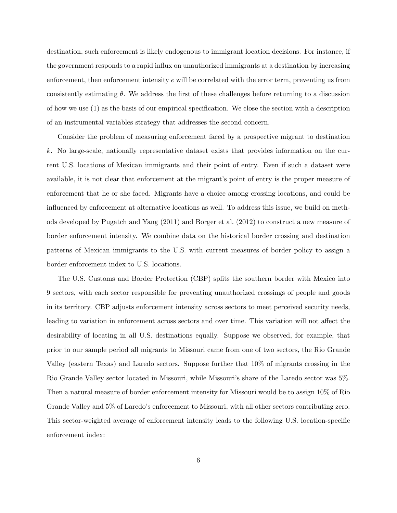destination, such enforcement is likely endogenous to immigrant location decisions. For instance, if the government responds to a rapid influx on unauthorized immigrants at a destination by increasing enforcement, then enforcement intensity e will be correlated with the error term, preventing us from consistently estimating  $\theta$ . We address the first of these challenges before returning to a discussion of how we use [\(1\)](#page-6-1) as the basis of our empirical specification. We close the section with a description of an instrumental variables strategy that addresses the second concern.

Consider the problem of measuring enforcement faced by a prospective migrant to destination k. No large-scale, nationally representative dataset exists that provides information on the current U.S. locations of Mexican immigrants and their point of entry. Even if such a dataset were available, it is not clear that enforcement at the migrant's point of entry is the proper measure of enforcement that he or she faced. Migrants have a choice among crossing locations, and could be influenced by enforcement at alternative locations as well. To address this issue, we build on methods developed by Pugatch and Yang (2011) and Borger et al. (2012) to construct a new measure of border enforcement intensity. We combine data on the historical border crossing and destination patterns of Mexican immigrants to the U.S. with current measures of border policy to assign a border enforcement index to U.S. locations.

The U.S. Customs and Border Protection (CBP) splits the southern border with Mexico into 9 sectors, with each sector responsible for preventing unauthorized crossings of people and goods in its territory. CBP adjusts enforcement intensity across sectors to meet perceived security needs, leading to variation in enforcement across sectors and over time. This variation will not affect the desirability of locating in all U.S. destinations equally. Suppose we observed, for example, that prior to our sample period all migrants to Missouri came from one of two sectors, the Rio Grande Valley (eastern Texas) and Laredo sectors. Suppose further that 10% of migrants crossing in the Rio Grande Valley sector located in Missouri, while Missouri's share of the Laredo sector was 5%. Then a natural measure of border enforcement intensity for Missouri would be to assign 10% of Rio Grande Valley and 5% of Laredo's enforcement to Missouri, with all other sectors contributing zero. This sector-weighted average of enforcement intensity leads to the following U.S. location-specific enforcement index: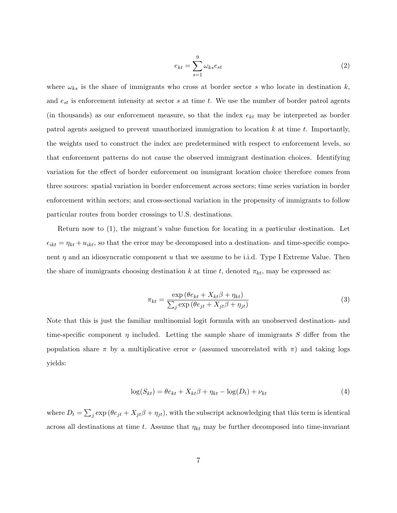<span id="page-8-0"></span>
$$
e_{kt} = \sum_{s=1}^{9} \omega_{ks} e_{st} \tag{2}
$$

where  $\omega_{ks}$  is the share of immigrants who cross at border sector s who locate in destination k, and  $e_{st}$  is enforcement intensity at sector s at time t. We use the number of border patrol agents (in thousands) as our enforcement measure, so that the index  $e_{kt}$  may be interpreted as border patrol agents assigned to prevent unauthorized immigration to location  $k$  at time  $t$ . Importantly, the weights used to construct the index are predetermined with respect to enforcement levels, so that enforcement patterns do not cause the observed immigrant destination choices. Identifying variation for the effect of border enforcement on immigrant location choice therefore comes from three sources: spatial variation in border enforcement across sectors; time series variation in border enforcement within sectors; and cross-sectional variation in the propensity of immigrants to follow particular routes from border crossings to U.S. destinations.

Return now to [\(1\)](#page-6-1), the migrant's value function for locating in a particular destination. Let  $\epsilon_{ikt} = \eta_{kt} + u_{ikt}$ , so that the error may be decomposed into a destination- and time-specific component  $\eta$  and an idiosyncratic component u that we assume to be i.i.d. Type I Extreme Value. Then the share of immigrants choosing destination k at time t, denoted  $\pi_{kt}$ , may be expressed as:

$$
\pi_{kt} = \frac{\exp\left(\theta e_{kt} + X_{kt}\beta + \eta_{kt}\right)}{\sum_{j} \exp\left(\theta e_{jt} + X_{jt}\beta + \eta_{jt}\right)}\tag{3}
$$

Note that this is just the familiar multinomial logit formula with an unobserved destination- and time-specific component  $\eta$  included. Letting the sample share of immigrants S differ from the population share  $\pi$  by a multiplicative error  $\nu$  (assumed uncorrelated with  $\pi$ ) and taking logs yields:

$$
\log(S_{kt}) = \theta e_{kt} + X_{kt}\beta + \eta_{kt} - \log(D_t) + \nu_{kt}
$$
\n(4)

where  $D_t = \sum_j \exp(\theta e_{jt} + X_{jt}\beta + \eta_{jt})$ , with the subscript acknowledging that this term is identical across all destinations at time t. Assume that  $\eta_{kt}$  may be further decomposed into time-invariant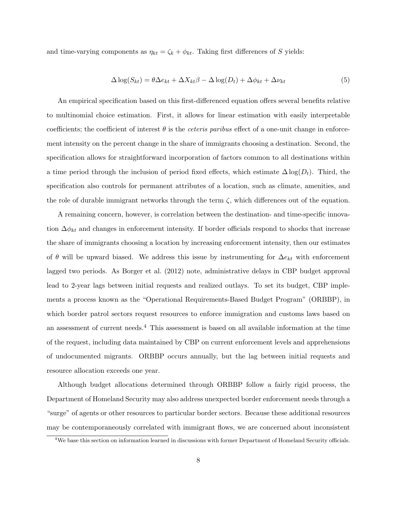and time-varying components as  $\eta_{kt} = \zeta_k + \phi_{kt}$ . Taking first differences of S yields:

<span id="page-9-1"></span>
$$
\Delta \log(S_{kt}) = \theta \Delta e_{kt} + \Delta X_{kt} \beta - \Delta \log(D_t) + \Delta \phi_{kt} + \Delta \nu_{kt}
$$
\n<sup>(5)</sup>

An empirical specification based on this first-differenced equation offers several benefits relative to multinomial choice estimation. First, it allows for linear estimation with easily interpretable coefficients; the coefficient of interest  $\theta$  is the *ceteris paribus* effect of a one-unit change in enforcement intensity on the percent change in the share of immigrants choosing a destination. Second, the specification allows for straightforward incorporation of factors common to all destinations within a time period through the inclusion of period fixed effects, which estimate  $\Delta \log(D_t)$ . Third, the specification also controls for permanent attributes of a location, such as climate, amenities, and the role of durable immigrant networks through the term  $\zeta$ , which differences out of the equation.

A remaining concern, however, is correlation between the destination- and time-specific innovation  $\Delta \phi_{kt}$  and changes in enforcement intensity. If border officials respond to shocks that increase the share of immigrants choosing a location by increasing enforcement intensity, then our estimates of  $\theta$  will be upward biased. We address this issue by instrumenting for  $\Delta e_{kt}$  with enforcement lagged two periods. As Borger et al. (2012) note, administrative delays in CBP budget approval lead to 2-year lags between initial requests and realized outlays. To set its budget, CBP implements a process known as the "Operational Requirements-Based Budget Program" (ORBBP), in which border patrol sectors request resources to enforce immigration and customs laws based on an assessment of current needs.[4](#page-9-0) This assessment is based on all available information at the time of the request, including data maintained by CBP on current enforcement levels and apprehensions of undocumented migrants. ORBBP occurs annually, but the lag between initial requests and resource allocation exceeds one year.

Although budget allocations determined through ORBBP follow a fairly rigid process, the Department of Homeland Security may also address unexpected border enforcement needs through a "surge" of agents or other resources to particular border sectors. Because these additional resources may be contemporaneously correlated with immigrant flows, we are concerned about inconsistent

<span id="page-9-0"></span><sup>4</sup>We base this section on information learned in discussions with former Department of Homeland Security officials.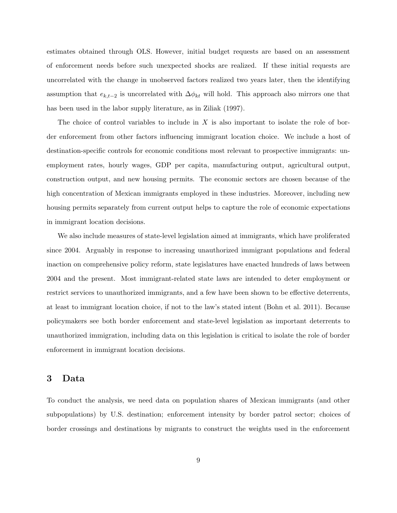estimates obtained through OLS. However, initial budget requests are based on an assessment of enforcement needs before such unexpected shocks are realized. If these initial requests are uncorrelated with the change in unobserved factors realized two years later, then the identifying assumption that  $e_{k,t-2}$  is uncorrelated with  $\Delta \phi_{kt}$  will hold. This approach also mirrors one that has been used in the labor supply literature, as in Ziliak (1997).

The choice of control variables to include in  $X$  is also important to isolate the role of border enforcement from other factors influencing immigrant location choice. We include a host of destination-specific controls for economic conditions most relevant to prospective immigrants: unemployment rates, hourly wages, GDP per capita, manufacturing output, agricultural output, construction output, and new housing permits. The economic sectors are chosen because of the high concentration of Mexican immigrants employed in these industries. Moreover, including new housing permits separately from current output helps to capture the role of economic expectations in immigrant location decisions.

We also include measures of state-level legislation aimed at immigrants, which have proliferated since 2004. Arguably in response to increasing unauthorized immigrant populations and federal inaction on comprehensive policy reform, state legislatures have enacted hundreds of laws between 2004 and the present. Most immigrant-related state laws are intended to deter employment or restrict services to unauthorized immigrants, and a few have been shown to be effective deterrents, at least to immigrant location choice, if not to the law's stated intent (Bohn et al. 2011). Because policymakers see both border enforcement and state-level legislation as important deterrents to unauthorized immigration, including data on this legislation is critical to isolate the role of border enforcement in immigrant location decisions.

### <span id="page-10-0"></span>3 Data

To conduct the analysis, we need data on population shares of Mexican immigrants (and other subpopulations) by U.S. destination; enforcement intensity by border patrol sector; choices of border crossings and destinations by migrants to construct the weights used in the enforcement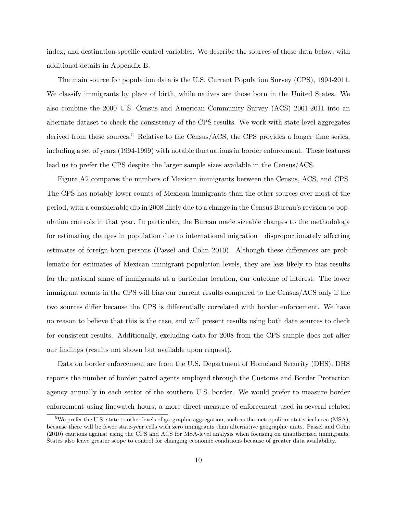index; and destination-specific control variables. We describe the sources of these data below, with additional details in Appendix [B.](#page-27-0)

The main source for population data is the U.S. Current Population Survey (CPS), 1994-2011. We classify immigrants by place of birth, while natives are those born in the United States. We also combine the 2000 U.S. Census and American Community Survey (ACS) 2001-2011 into an alternate dataset to check the consistency of the CPS results. We work with state-level aggregates derived from these sources.<sup>[5](#page-11-0)</sup> Relative to the Census/ACS, the CPS provides a longer time series, including a set of years (1994-1999) with notable fluctuations in border enforcement. These features lead us to prefer the CPS despite the larger sample sizes available in the Census/ACS.

Figure [A2](#page-41-1) compares the numbers of Mexican immigrants between the Census, ACS, and CPS. The CPS has notably lower counts of Mexican immigrants than the other sources over most of the period, with a considerable dip in 2008 likely due to a change in the Census Bureau's revision to population controls in that year. In particular, the Bureau made sizeable changes to the methodology for estimating changes in population due to international migration—disproportionately affecting estimates of foreign-born persons (Passel and Cohn 2010). Although these differences are problematic for estimates of Mexican immigrant population levels, they are less likely to bias results for the national share of immigrants at a particular location, our outcome of interest. The lower immigrant counts in the CPS will bias our current results compared to the Census/ACS only if the two sources differ because the CPS is differentially correlated with border enforcement. We have no reason to believe that this is the case, and will present results using both data sources to check for consistent results. Additionally, excluding data for 2008 from the CPS sample does not alter our findings (results not shown but available upon request).

Data on border enforcement are from the U.S. Department of Homeland Security (DHS). DHS reports the number of border patrol agents employed through the Customs and Border Protection agency annually in each sector of the southern U.S. border. We would prefer to measure border enforcement using linewatch hours, a more direct measure of enforcement used in several related

<span id="page-11-0"></span><sup>&</sup>lt;sup>5</sup>We prefer the U.S. state to other levels of geographic aggregation, such as the metropolitan statistical area (MSA), because there will be fewer state-year cells with zero immigrants than alternative geographic units. Passel and Cohn (2010) cautions against using the CPS and ACS for MSA-level analysis when focusing on unauthorized immigrants. States also leave greater scope to control for changing economic conditions because of greater data availability.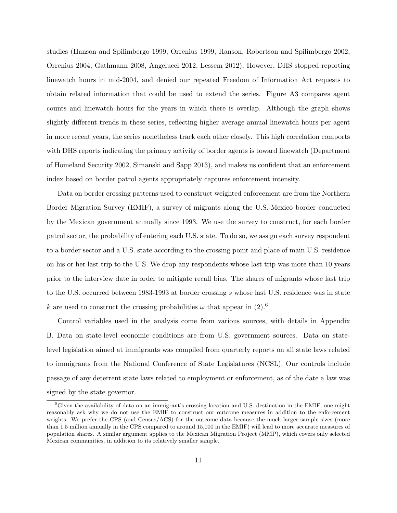studies (Hanson and Spilimbergo 1999, Orrenius 1999, Hanson, Robertson and Spilimbergo 2002, Orrenius 2004, Gathmann 2008, Angelucci 2012, Lessem 2012), However, DHS stopped reporting linewatch hours in mid-2004, and denied our repeated Freedom of Information Act requests to obtain related information that could be used to extend the series. Figure [A3](#page-42-0) compares agent counts and linewatch hours for the years in which there is overlap. Although the graph shows slightly different trends in these series, reflecting higher average annual linewatch hours per agent in more recent years, the series nonetheless track each other closely. This high correlation comports with DHS reports indicating the primary activity of border agents is toward linewatch (Department of Homeland Security 2002, Simanski and Sapp 2013), and makes us confident that an enforcement index based on border patrol agents appropriately captures enforcement intensity.

Data on border crossing patterns used to construct weighted enforcement are from the Northern Border Migration Survey (EMIF), a survey of migrants along the U.S.-Mexico border conducted by the Mexican government annually since 1993. We use the survey to construct, for each border patrol sector, the probability of entering each U.S. state. To do so, we assign each survey respondent to a border sector and a U.S. state according to the crossing point and place of main U.S. residence on his or her last trip to the U.S. We drop any respondents whose last trip was more than 10 years prior to the interview date in order to mitigate recall bias. The shares of migrants whose last trip to the U.S. occurred between 1983-1993 at border crossing s whose last U.S. residence was in state k are used to construct the crossing probabilities  $\omega$  that appear in [\(2\)](#page-8-0).<sup>[6](#page-12-0)</sup>

Control variables used in the analysis come from various sources, with details in Appendix [B.](#page-27-0) Data on state-level economic conditions are from U.S. government sources. Data on statelevel legislation aimed at immigrants was compiled from quarterly reports on all state laws related to immigrants from the National Conference of State Legislatures (NCSL). Our controls include passage of any deterrent state laws related to employment or enforcement, as of the date a law was signed by the state governor.

<span id="page-12-0"></span><sup>6</sup>Given the availability of data on an immigrant's crossing location and U.S. destination in the EMIF, one might reasonably ask why we do not use the EMIF to construct our outcome measures in addition to the enforcement weights. We prefer the CPS (and Census/ACS) for the outcome data because the much larger sample sizes (more than 1.5 million annually in the CPS compared to around 15,000 in the EMIF) will lead to more accurate measures of population shares. A similar argument applies to the Mexican Migration Project (MMP), which covers only selected Mexican communities, in addition to its relatively smaller sample.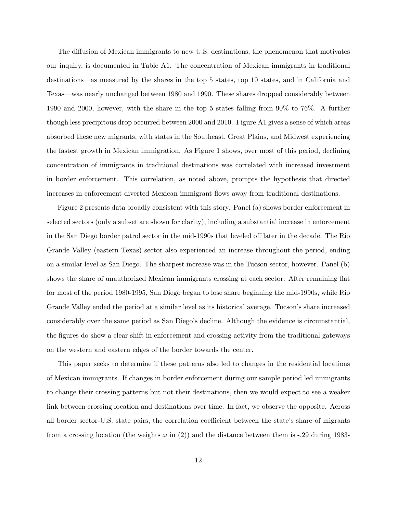The diffusion of Mexican immigrants to new U.S. destinations, the phenomenon that motivates our inquiry, is documented in Table [A1.](#page-34-0) The concentration of Mexican immigrants in traditional destinations—as measured by the shares in the top 5 states, top 10 states, and in California and Texas—was nearly unchanged between 1980 and 1990. These shares dropped considerably between 1990 and 2000, however, with the share in the top 5 states falling from 90% to 76%. A further though less precipitous drop occurred between 2000 and 2010. Figure [A1](#page-41-0) gives a sense of which areas absorbed these new migrants, with states in the Southeast, Great Plains, and Midwest experiencing the fastest growth in Mexican immigration. As Figure [1](#page-37-0) shows, over most of this period, declining concentration of immigrants in traditional destinations was correlated with increased investment in border enforcement. This correlation, as noted above, prompts the hypothesis that directed increases in enforcement diverted Mexican immigrant flows away from traditional destinations.

Figure [2](#page-38-0) presents data broadly consistent with this story. Panel (a) shows border enforcement in selected sectors (only a subset are shown for clarity), including a substantial increase in enforcement in the San Diego border patrol sector in the mid-1990s that leveled off later in the decade. The Rio Grande Valley (eastern Texas) sector also experienced an increase throughout the period, ending on a similar level as San Diego. The sharpest increase was in the Tucson sector, however. Panel (b) shows the share of unauthorized Mexican immigrants crossing at each sector. After remaining flat for most of the period 1980-1995, San Diego began to lose share beginning the mid-1990s, while Rio Grande Valley ended the period at a similar level as its historical average. Tucson's share increased considerably over the same period as San Diego's decline. Although the evidence is circumstantial, the figures do show a clear shift in enforcement and crossing activity from the traditional gateways on the western and eastern edges of the border towards the center.

This paper seeks to determine if these patterns also led to changes in the residential locations of Mexican immigrants. If changes in border enforcement during our sample period led immigrants to change their crossing patterns but not their destinations, then we would expect to see a weaker link between crossing location and destinations over time. In fact, we observe the opposite. Across all border sector-U.S. state pairs, the correlation coefficient between the state's share of migrants from a crossing location (the weights  $\omega$  in [\(2\)](#page-8-0)) and the distance between them is -.29 during 1983-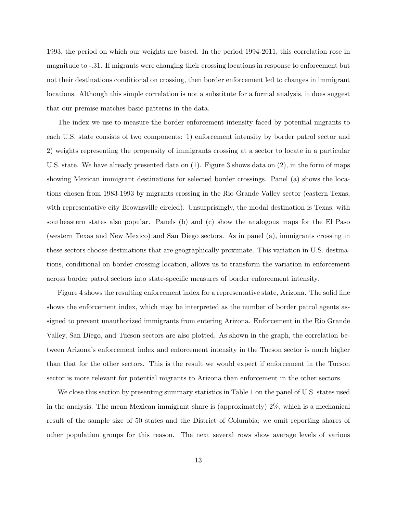1993, the period on which our weights are based. In the period 1994-2011, this correlation rose in magnitude to -.31. If migrants were changing their crossing locations in response to enforcement but not their destinations conditional on crossing, then border enforcement led to changes in immigrant locations. Although this simple correlation is not a substitute for a formal analysis, it does suggest that our premise matches basic patterns in the data.

The index we use to measure the border enforcement intensity faced by potential migrants to each U.S. state consists of two components: 1) enforcement intensity by border patrol sector and 2) weights representing the propensity of immigrants crossing at a sector to locate in a particular U.S. state. We have already presented data on (1). Figure [3](#page-39-0) shows data on (2), in the form of maps showing Mexican immigrant destinations for selected border crossings. Panel (a) shows the locations chosen from 1983-1993 by migrants crossing in the Rio Grande Valley sector (eastern Texas, with representative city Brownsville circled). Unsurprisingly, the modal destination is Texas, with southeastern states also popular. Panels (b) and (c) show the analogous maps for the El Paso (western Texas and New Mexico) and San Diego sectors. As in panel (a), immigrants crossing in these sectors choose destinations that are geographically proximate. This variation in U.S. destinations, conditional on border crossing location, allows us to transform the variation in enforcement across border patrol sectors into state-specific measures of border enforcement intensity.

Figure [4](#page-40-0) shows the resulting enforcement index for a representative state, Arizona. The solid line shows the enforcement index, which may be interpreted as the number of border patrol agents assigned to prevent unauthorized immigrants from entering Arizona. Enforcement in the Rio Grande Valley, San Diego, and Tucson sectors are also plotted. As shown in the graph, the correlation between Arizona's enforcement index and enforcement intensity in the Tucson sector is much higher than that for the other sectors. This is the result we would expect if enforcement in the Tucson sector is more relevant for potential migrants to Arizona than enforcement in the other sectors.

We close this section by presenting summary statistics in Table [1](#page-29-0) on the panel of U.S. states used in the analysis. The mean Mexican immigrant share is (approximately) 2%, which is a mechanical result of the sample size of 50 states and the District of Columbia; we omit reporting shares of other population groups for this reason. The next several rows show average levels of various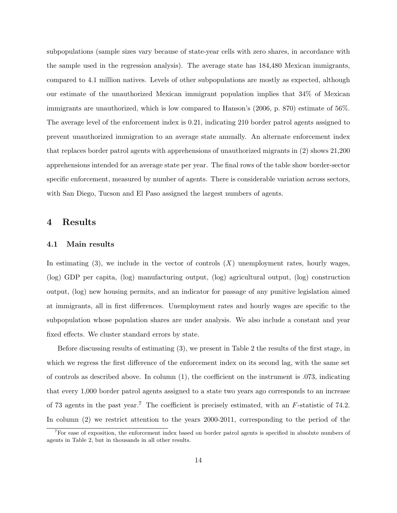subpopulations (sample sizes vary because of state-year cells with zero shares, in accordance with the sample used in the regression analysis). The average state has 184,480 Mexican immigrants, compared to 4.1 million natives. Levels of other subpopulations are mostly as expected, although our estimate of the unauthorized Mexican immigrant population implies that 34% of Mexican immigrants are unauthorized, which is low compared to Hanson's (2006, p. 870) estimate of 56%. The average level of the enforcement index is 0.21, indicating 210 border patrol agents assigned to prevent unauthorized immigration to an average state annually. An alternate enforcement index that replaces border patrol agents with apprehensions of unauthorized migrants in [\(2\)](#page-8-0) shows 21,200 apprehensions intended for an average state per year. The final rows of the table show border-sector specific enforcement, measured by number of agents. There is considerable variation across sectors, with San Diego, Tucson and El Paso assigned the largest numbers of agents.

### 4 Results

#### 4.1 Main results

In estimating  $(3)$ , we include in the vector of controls  $(X)$  unemployment rates, hourly wages, (log) GDP per capita, (log) manufacturing output, (log) agricultural output, (log) construction output, (log) new housing permits, and an indicator for passage of any punitive legislation aimed at immigrants, all in first differences. Unemployment rates and hourly wages are specific to the subpopulation whose population shares are under analysis. We also include a constant and year fixed effects. We cluster standard errors by state.

Before discussing results of estimating [\(3\)](#page-31-0), we present in Table [2](#page-30-0) the results of the first stage, in which we regress the first difference of the enforcement index on its second lag, with the same set of controls as described above. In column  $(1)$ , the coefficient on the instrument is .073, indicating that every 1,000 border patrol agents assigned to a state two years ago corresponds to an increase of [7](#page-15-0)3 agents in the past year.<sup>7</sup> The coefficient is precisely estimated, with an  $F$ -statistic of 74.2. In column (2) we restrict attention to the years 2000-2011, corresponding to the period of the

<span id="page-15-0"></span><sup>&</sup>lt;sup>7</sup>For ease of exposition, the enforcement index based on border patrol agents is specified in absolute numbers of agents in Table [2,](#page-30-0) but in thousands in all other results.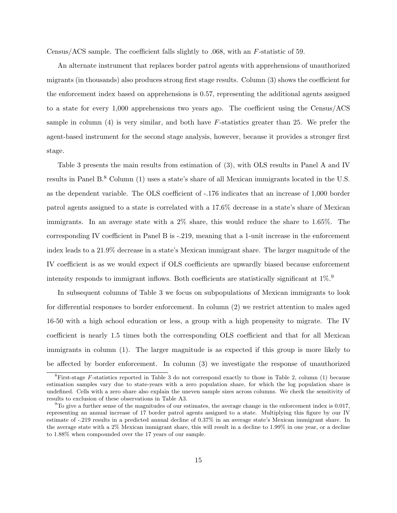Census/ACS sample. The coefficient falls slightly to .068, with an F-statistic of 59.

An alternate instrument that replaces border patrol agents with apprehensions of unauthorized migrants (in thousands) also produces strong first stage results. Column (3) shows the coefficient for the enforcement index based on apprehensions is 0.57, representing the additional agents assigned to a state for every 1,000 apprehensions two years ago. The coefficient using the Census/ACS sample in column  $(4)$  is very similar, and both have F-statistics greater than 25. We prefer the agent-based instrument for the second stage analysis, however, because it provides a stronger first stage.

Table [3](#page-31-0) presents the main results from estimation of [\(3\)](#page-31-0), with OLS results in Panel A and IV results in Panel B.[8](#page-16-0) Column (1) uses a state's share of all Mexican immigrants located in the U.S. as the dependent variable. The OLS coefficient of -.176 indicates that an increase of 1,000 border patrol agents assigned to a state is correlated with a 17.6% decrease in a state's share of Mexican immigrants. In an average state with a 2% share, this would reduce the share to 1.65%. The corresponding IV coefficient in Panel B is -.219, meaning that a 1-unit increase in the enforcement index leads to a 21.9% decrease in a state's Mexican immigrant share. The larger magnitude of the IV coefficient is as we would expect if OLS coefficients are upwardly biased because enforcement intensity responds to immigrant inflows. Both coefficients are statistically significant at  $1\%$ .

In subsequent columns of Table [3](#page-31-0) we focus on subpopulations of Mexican immigrants to look for differential responses to border enforcement. In column (2) we restrict attention to males aged 16-50 with a high school education or less, a group with a high propensity to migrate. The IV coefficient is nearly 1.5 times both the corresponding OLS coefficient and that for all Mexican immigrants in column (1). The larger magnitude is as expected if this group is more likely to be affected by border enforcement. In column (3) we investigate the response of unauthorized

<span id="page-16-0"></span> ${}^{8}$ First-stage F-statistics reported in Table [3](#page-31-0) do not correspond exactly to those in Table [2,](#page-30-0) column (1) because estimation samples vary due to state-years with a zero population share, for which the log population share is undefined. Cells with a zero share also explain the uneven sample sizes across columns. We check the sensitivity of results to exclusion of these observations in Table [A3.](#page-36-0)

<span id="page-16-1"></span> $9T\sigma$  give a further sense of the magnitudes of our estimates, the average change in the enforcement index is 0.017, representing an annual increase of 17 border patrol agents assigned to a state. Multiplying this figure by our IV estimate of -.219 results in a predicted annual decline of 0.37% in an average state's Mexican immigrant share. In the average state with a 2% Mexican immigrant share, this will result in a decline to 1.99% in one year, or a decline to 1.88% when compounded over the 17 years of our sample.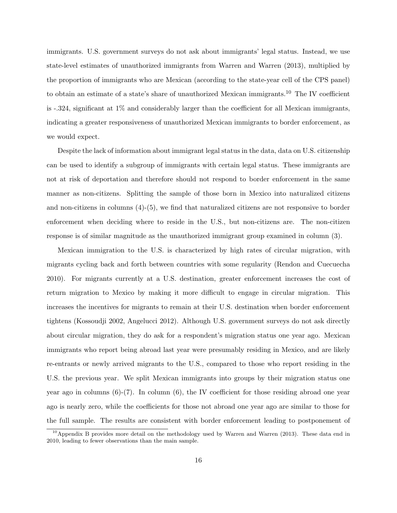immigrants. U.S. government surveys do not ask about immigrants' legal status. Instead, we use state-level estimates of unauthorized immigrants from Warren and Warren (2013), multiplied by the proportion of immigrants who are Mexican (according to the state-year cell of the CPS panel) to obtain an estimate of a state's share of unauthorized Mexican immigrants.[10](#page-17-0) The IV coefficient is -.324, significant at 1% and considerably larger than the coefficient for all Mexican immigrants, indicating a greater responsiveness of unauthorized Mexican immigrants to border enforcement, as we would expect.

Despite the lack of information about immigrant legal status in the data, data on U.S. citizenship can be used to identify a subgroup of immigrants with certain legal status. These immigrants are not at risk of deportation and therefore should not respond to border enforcement in the same manner as non-citizens. Splitting the sample of those born in Mexico into naturalized citizens and non-citizens in columns (4)-(5), we find that naturalized citizens are not responsive to border enforcement when deciding where to reside in the U.S., but non-citizens are. The non-citizen response is of similar magnitude as the unauthorized immigrant group examined in column (3).

Mexican immigration to the U.S. is characterized by high rates of circular migration, with migrants cycling back and forth between countries with some regularity (Rendon and Cuecuecha 2010). For migrants currently at a U.S. destination, greater enforcement increases the cost of return migration to Mexico by making it more difficult to engage in circular migration. This increases the incentives for migrants to remain at their U.S. destination when border enforcement tightens (Kossoudji 2002, Angelucci 2012). Although U.S. government surveys do not ask directly about circular migration, they do ask for a respondent's migration status one year ago. Mexican immigrants who report being abroad last year were presumably residing in Mexico, and are likely re-entrants or newly arrived migrants to the U.S., compared to those who report residing in the U.S. the previous year. We split Mexican immigrants into groups by their migration status one year ago in columns  $(6)-(7)$ . In column  $(6)$ , the IV coefficient for those residing abroad one year ago is nearly zero, while the coefficients for those not abroad one year ago are similar to those for the full sample. The results are consistent with border enforcement leading to postponement of

<span id="page-17-0"></span><sup>&</sup>lt;sup>10</sup>Appendix [B](#page-27-0) provides more detail on the methodology used by Warren and Warren (2013). These data end in 2010, leading to fewer observations than the main sample.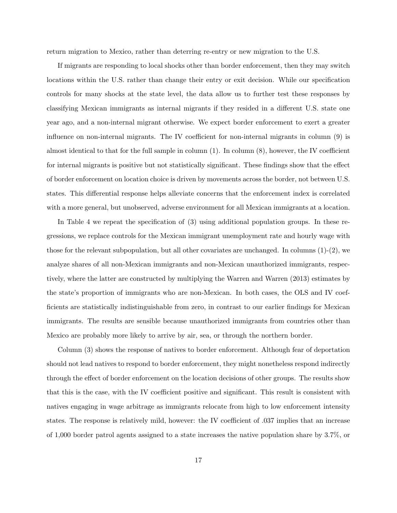return migration to Mexico, rather than deterring re-entry or new migration to the U.S.

If migrants are responding to local shocks other than border enforcement, then they may switch locations within the U.S. rather than change their entry or exit decision. While our specification controls for many shocks at the state level, the data allow us to further test these responses by classifying Mexican immigrants as internal migrants if they resided in a different U.S. state one year ago, and a non-internal migrant otherwise. We expect border enforcement to exert a greater influence on non-internal migrants. The IV coefficient for non-internal migrants in column (9) is almost identical to that for the full sample in column  $(1)$ . In column  $(8)$ , however, the IV coefficient for internal migrants is positive but not statistically significant. These findings show that the effect of border enforcement on location choice is driven by movements across the border, not between U.S. states. This differential response helps alleviate concerns that the enforcement index is correlated with a more general, but unobserved, adverse environment for all Mexican immigrants at a location.

In Table [4](#page-32-0) we repeat the specification of [\(3\)](#page-31-0) using additional population groups. In these regressions, we replace controls for the Mexican immigrant unemployment rate and hourly wage with those for the relevant subpopulation, but all other covariates are unchanged. In columns  $(1)-(2)$ , we analyze shares of all non-Mexican immigrants and non-Mexican unauthorized immigrants, respectively, where the latter are constructed by multiplying the Warren and Warren (2013) estimates by the state's proportion of immigrants who are non-Mexican. In both cases, the OLS and IV coefficients are statistically indistinguishable from zero, in contrast to our earlier findings for Mexican immigrants. The results are sensible because unauthorized immigrants from countries other than Mexico are probably more likely to arrive by air, sea, or through the northern border.

Column (3) shows the response of natives to border enforcement. Although fear of deportation should not lead natives to respond to border enforcement, they might nonetheless respond indirectly through the effect of border enforcement on the location decisions of other groups. The results show that this is the case, with the IV coefficient positive and significant. This result is consistent with natives engaging in wage arbitrage as immigrants relocate from high to low enforcement intensity states. The response is relatively mild, however: the IV coefficient of .037 implies that an increase of 1,000 border patrol agents assigned to a state increases the native population share by 3.7%, or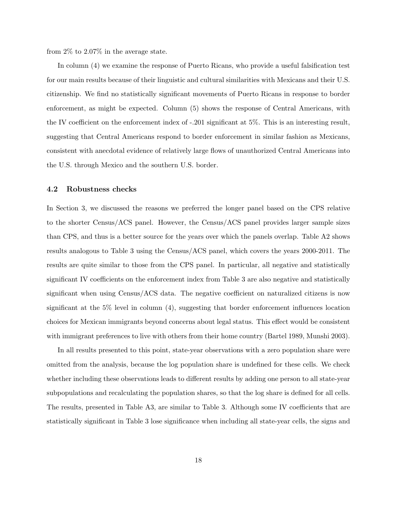from 2% to 2.07% in the average state.

In column (4) we examine the response of Puerto Ricans, who provide a useful falsification test for our main results because of their linguistic and cultural similarities with Mexicans and their U.S. citizenship. We find no statistically significant movements of Puerto Ricans in response to border enforcement, as might be expected. Column (5) shows the response of Central Americans, with the IV coefficient on the enforcement index of -.201 significant at 5%. This is an interesting result, suggesting that Central Americans respond to border enforcement in similar fashion as Mexicans, consistent with anecdotal evidence of relatively large flows of unauthorized Central Americans into the U.S. through Mexico and the southern U.S. border.

#### 4.2 Robustness checks

In Section [3,](#page-10-0) we discussed the reasons we preferred the longer panel based on the CPS relative to the shorter Census/ACS panel. However, the Census/ACS panel provides larger sample sizes than CPS, and thus is a better source for the years over which the panels overlap. Table [A2](#page-35-0) shows results analogous to Table [3](#page-31-0) using the Census/ACS panel, which covers the years 2000-2011. The results are quite similar to those from the CPS panel. In particular, all negative and statistically significant IV coefficients on the enforcement index from Table [3](#page-31-0) are also negative and statistically significant when using Census/ACS data. The negative coefficient on naturalized citizens is now significant at the  $5\%$  level in column  $(4)$ , suggesting that border enforcement influences location choices for Mexican immigrants beyond concerns about legal status. This effect would be consistent with immigrant preferences to live with others from their home country (Bartel 1989, Munshi 2003).

In all results presented to this point, state-year observations with a zero population share were omitted from the analysis, because the log population share is undefined for these cells. We check whether including these observations leads to different results by adding one person to all state-year subpopulations and recalculating the population shares, so that the log share is defined for all cells. The results, presented in Table [A3,](#page-36-0) are similar to Table [3.](#page-31-0) Although some IV coefficients that are statistically significant in Table [3](#page-31-0) lose significance when including all state-year cells, the signs and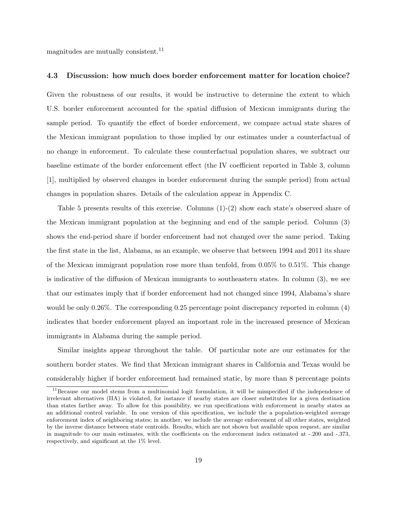magnitudes are mutually consistent.<sup>[11](#page-20-0)</sup>

#### 4.3 Discussion: how much does border enforcement matter for location choice?

Given the robustness of our results, it would be instructive to determine the extent to which U.S. border enforcement accounted for the spatial diffusion of Mexican immigrants during the sample period. To quantify the effect of border enforcement, we compare actual state shares of the Mexican immigrant population to those implied by our estimates under a counterfactual of no change in enforcement. To calculate these counterfactual population shares, we subtract our baseline estimate of the border enforcement effect (the IV coefficient reported in Table [3,](#page-31-0) column [1], multiplied by observed changes in border enforcement during the sample period) from actual changes in population shares. Details of the calculation appear in Appendix [C.](#page-28-0)

Table [5](#page-33-0) presents results of this exercise. Columns (1)-(2) show each state's observed share of the Mexican immigrant population at the beginning and end of the sample period. Column (3) shows the end-period share if border enforcement had not changed over the same period. Taking the first state in the list, Alabama, as an example, we observe that between 1994 and 2011 its share of the Mexican immigrant population rose more than tenfold, from 0.05% to 0.51%. This change is indicative of the diffusion of Mexican immigrants to southeastern states. In column (3), we see that our estimates imply that if border enforcement had not changed since 1994, Alabama's share would be only 0.26%. The corresponding 0.25 percentage point discrepancy reported in column (4) indicates that border enforcement played an important role in the increased presence of Mexican immigrants in Alabama during the sample period.

Similar insights appear throughout the table. Of particular note are our estimates for the southern border states. We find that Mexican immigrant shares in California and Texas would be considerably higher if border enforcement had remained static, by more than 8 percentage points

<span id="page-20-0"></span><sup>&</sup>lt;sup>11</sup>Because our model stems from a multinomial logit formulation, it will be misspecified if the independence of irrelevant alternatives (IIA) is violated, for instance if nearby states are closer substitutes for a given destination than states farther away. To allow for this possibility, we run specifications with enforcement in nearby states as an additional control variable. In one version of this specification, we include the a population-weighted average enforcement index of neighboring states; in another, we include the average enforcement of all other states, weighted by the inverse distance between state centroids. Results, which are not shown but available upon request, are similar in magnitude to our main estimates, with the coefficients on the enforcement index estimated at -.200 and -.373, respectively, and significant at the 1% level.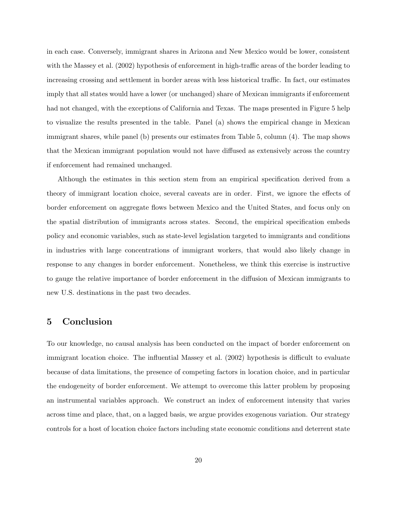in each case. Conversely, immigrant shares in Arizona and New Mexico would be lower, consistent with the Massey et al. (2002) hypothesis of enforcement in high-traffic areas of the border leading to increasing crossing and settlement in border areas with less historical traffic. In fact, our estimates imply that all states would have a lower (or unchanged) share of Mexican immigrants if enforcement had not changed, with the exceptions of California and Texas. The maps presented in Figure [5](#page-40-1) help to visualize the results presented in the table. Panel (a) shows the empirical change in Mexican immigrant shares, while panel (b) presents our estimates from Table [5,](#page-33-0) column (4). The map shows that the Mexican immigrant population would not have diffused as extensively across the country if enforcement had remained unchanged.

Although the estimates in this section stem from an empirical specification derived from a theory of immigrant location choice, several caveats are in order. First, we ignore the effects of border enforcement on aggregate flows between Mexico and the United States, and focus only on the spatial distribution of immigrants across states. Second, the empirical specification embeds policy and economic variables, such as state-level legislation targeted to immigrants and conditions in industries with large concentrations of immigrant workers, that would also likely change in response to any changes in border enforcement. Nonetheless, we think this exercise is instructive to gauge the relative importance of border enforcement in the diffusion of Mexican immigrants to new U.S. destinations in the past two decades.

# 5 Conclusion

To our knowledge, no causal analysis has been conducted on the impact of border enforcement on immigrant location choice. The influential Massey et al. (2002) hypothesis is difficult to evaluate because of data limitations, the presence of competing factors in location choice, and in particular the endogeneity of border enforcement. We attempt to overcome this latter problem by proposing an instrumental variables approach. We construct an index of enforcement intensity that varies across time and place, that, on a lagged basis, we argue provides exogenous variation. Our strategy controls for a host of location choice factors including state economic conditions and deterrent state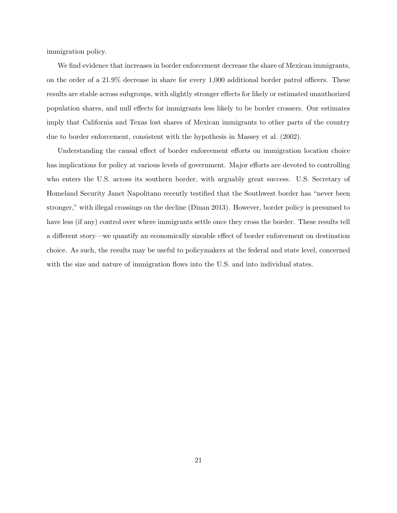immigration policy.

We find evidence that increases in border enforcement decrease the share of Mexican immigrants, on the order of a 21.9% decrease in share for every 1,000 additional border patrol officers. These results are stable across subgroups, with slightly stronger effects for likely or estimated unauthorized population shares, and null effects for immigrants less likely to be border crossers. Our estimates imply that California and Texas lost shares of Mexican immigrants to other parts of the country due to border enforcement, consistent with the hypothesis in Massey et al. (2002).

Understanding the causal effect of border enforcement efforts on immigration location choice has implications for policy at various levels of government. Major efforts are devoted to controlling who enters the U.S. across its southern border, with arguably great success. U.S. Secretary of Homeland Security Janet Napolitano recently testified that the Southwest border has "never been stronger," with illegal crossings on the decline (Dinan 2013). However, border policy is presumed to have less (if any) control over where immigrants settle once they cross the border. These results tell a different story—we quantify an economically sizeable effect of border enforcement on destination choice. As such, the results may be useful to policymakers at the federal and state level, concerned with the size and nature of immigration flows into the U.S. and into individual states.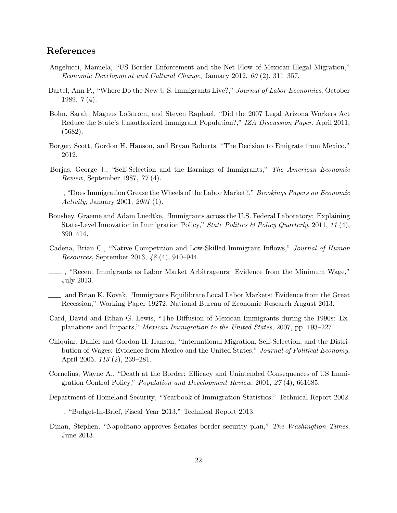# References

- Angelucci, Manuela, "US Border Enforcement and the Net Flow of Mexican Illegal Migration," Economic Development and Cultural Change, January 2012, 60 (2), 311–357.
- Bartel, Ann P., "Where Do the New U.S. Immigrants Live?," Journal of Labor Economics, October 1989, 7 (4).
- Bohn, Sarah, Magnus Lofstrom, and Steven Raphael, "Did the 2007 Legal Arizona Workers Act Reduce the State's Unauthorized Immigrant Population?," IZA Discussion Paper, April 2011, (5682).
- Borger, Scott, Gordon H. Hanson, and Bryan Roberts, "The Decision to Emigrate from Mexico," 2012.
- Borjas, George J., "Self-Selection and the Earnings of Immigrants," The American Economic Review, September 1987, 77 (4).
- , "Does Immigration Grease the Wheels of the Labor Market?," Brookings Papers on Economic Activity, January 2001, 2001 (1).
- Boushey, Graeme and Adam Luedtke, "Immigrants across the U.S. Federal Laboratory: Explaining State-Level Innovation in Immigration Policy," State Politics & Policy Quarterly, 2011, 11(4), 390–414.
- Cadena, Brian C., "Native Competition and Low-Skilled Immigrant Inflows," Journal of Human Resources, September 2013, 48 (4), 910–944.
- , "Recent Immigrants as Labor Market Arbitrageurs: Evidence from the Minimum Wage," July 2013.
- and Brian K. Kovak, "Immigrants Equilibrate Local Labor Markets: Evidence from the Great Recession," Working Paper 19272, National Bureau of Economic Research August 2013.
- Card, David and Ethan G. Lewis, "The Diffusion of Mexican Immigrants during the 1990s: Explanations and Impacts," Mexican Immigration to the United States, 2007, pp. 193–227.
- Chiquiar, Daniel and Gordon H. Hanson, "International Migration, Self-Selection, and the Distribution of Wages: Evidence from Mexico and the United States," Journal of Political Economy, April 2005, 113 (2), 239–281.
- Cornelius, Wayne A., "Death at the Border: Efficacy and Unintended Consequences of US Immigration Control Policy," Population and Development Review, 2001, 27 (4), 661685.

Department of Homeland Security, "Yearbook of Immigration Statistics," Technical Report 2002.

- , "Budget-In-Brief, Fiscal Year 2013," Technical Report 2013.
- Dinan, Stephen, "Napolitano approves Senates border security plan," The Washingtion Times, June 2013.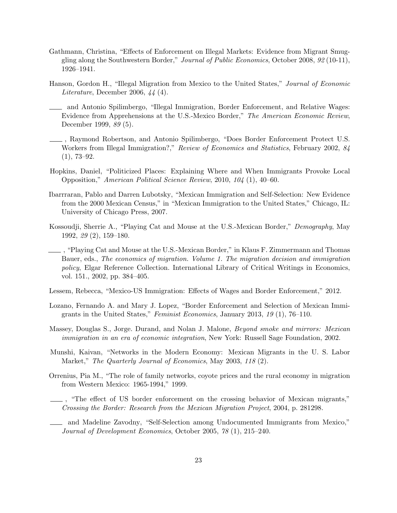- Gathmann, Christina, "Effects of Enforcement on Illegal Markets: Evidence from Migrant Smuggling along the Southwestern Border," Journal of Public Economics, October 2008, 92 (10-11), 1926–1941.
- Hanson, Gordon H., "Illegal Migration from Mexico to the United States," Journal of Economic Literature, December 2006, 44 (4).
- and Antonio Spilimbergo, "Illegal Immigration, Border Enforcement, and Relative Wages: Evidence from Apprehensions at the U.S.-Mexico Border," The American Economic Review, December 1999, 89 (5).
- , Raymond Robertson, and Antonio Spilimbergo, "Does Border Enforcement Protect U.S. Workers from Illegal Immigration?," Review of Economics and Statistics, February 2002, 84 (1), 73–92.
- Hopkins, Daniel, "Politicized Places: Explaining Where and When Immigrants Provoke Local Opposition," American Political Science Review, 2010, 104 (1), 40–60.
- Ibarrraran, Pablo and Darren Lubotsky, "Mexican Immigration and Self-Selection: New Evidence from the 2000 Mexican Census," in "Mexican Immigration to the United States," Chicago, IL: University of Chicago Press, 2007.
- Kossoudji, Sherrie A., "Playing Cat and Mouse at the U.S.-Mexican Border," Demography, May 1992, 29 (2), 159–180.
- , "Playing Cat and Mouse at the U.S.-Mexican Border," in Klaus F. Zimmermann and Thomas Bauer, eds., The economics of migration. Volume 1. The migration decision and immigration policy, Elgar Reference Collection. International Library of Critical Writings in Economics, vol. 151., 2002, pp. 384–405.
- Lessem, Rebecca, "Mexico-US Immigration: Effects of Wages and Border Enforcement," 2012.
- Lozano, Fernando A. and Mary J. Lopez, "Border Enforcement and Selection of Mexican Immigrants in the United States," Feminist Economics, January 2013, 19 (1), 76–110.
- Massey, Douglas S., Jorge. Durand, and Nolan J. Malone, Beyond smoke and mirrors: Mexican immigration in an era of economic integration, New York: Russell Sage Foundation, 2002.
- Munshi, Kaivan, "Networks in the Modern Economy: Mexican Migrants in the U. S. Labor Market," The Quarterly Journal of Economics, May 2003, 118 (2).
- Orrenius, Pia M., "The role of family networks, coyote prices and the rural economy in migration from Western Mexico: 1965-1994," 1999.
- , "The effect of US border enforcement on the crossing behavior of Mexican migrants," Crossing the Border: Research from the Mexican Migration Project, 2004, p. 281298.
- and Madeline Zavodny, "Self-Selection among Undocumented Immigrants from Mexico," Journal of Development Economics, October 2005, 78 (1), 215–240.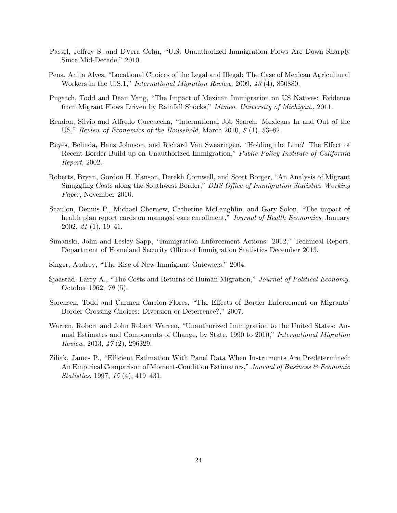- Passel, Jeffrey S. and DVera Cohn, "U.S. Unauthorized Immigration Flows Are Down Sharply Since Mid-Decade," 2010.
- Pena, Anita Alves, "Locational Choices of the Legal and Illegal: The Case of Mexican Agricultural Workers in the U.S.1," International Migration Review, 2009, 43 (4), 850880.
- Pugatch, Todd and Dean Yang, "The Impact of Mexican Immigration on US Natives: Evidence from Migrant Flows Driven by Rainfall Shocks," Mimeo. University of Michigan., 2011.
- Rendon, Silvio and Alfredo Cuecuecha, "International Job Search: Mexicans In and Out of the US," Review of Economics of the Household, March 2010, 8 (1), 53–82.
- Reyes, Belinda, Hans Johnson, and Richard Van Swearingen, "Holding the Line? The Effect of Recent Border Build-up on Unauthorized Immigration," Public Policy Institute of California Report, 2002.
- Roberts, Bryan, Gordon H. Hanson, Derekh Cornwell, and Scott Borger, "An Analysis of Migrant Smuggling Costs along the Southwest Border," DHS Office of Immigration Statistics Working Paper, November 2010.
- Scanlon, Dennis P., Michael Chernew, Catherine McLaughlin, and Gary Solon, "The impact of health plan report cards on managed care enrollment," Journal of Health Economics, January 2002, 21 (1), 19–41.
- Simanski, John and Lesley Sapp, "Immigration Enforcement Actions: 2012," Technical Report, Department of Homeland Security Office of Immigration Statistics December 2013.
- Singer, Audrey, "The Rise of New Immigrant Gateways," 2004.
- Sjaastad, Larry A., "The Costs and Returns of Human Migration," Journal of Political Economy, October 1962, 70 (5).
- Sorensen, Todd and Carmen Carrion-Flores, "The Effects of Border Enforcement on Migrants' Border Crossing Choices: Diversion or Deterrence?," 2007.
- Warren, Robert and John Robert Warren, "Unauthorized Immigration to the United States: Annual Estimates and Components of Change, by State, 1990 to 2010," International Migration Review, 2013, 47 (2), 296329.
- Ziliak, James P., "Efficient Estimation With Panel Data When Instruments Are Predetermined: An Empirical Comparison of Moment-Condition Estimators," Journal of Business  $\mathscr$  Economic Statistics, 1997, 15 (4), 419–431.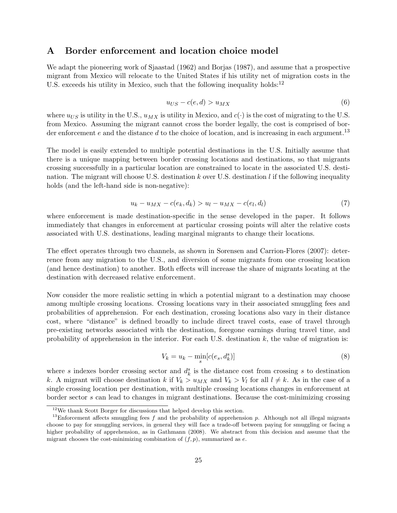## <span id="page-26-0"></span>A Border enforcement and location choice model

We adapt the pioneering work of Sjaastad (1962) and Borjas (1987), and assume that a prospective migrant from Mexico will relocate to the United States if his utility net of migration costs in the U.S. exceeds his utility in Mexico, such that the following inequality holds:<sup>[12](#page-26-1)</sup>

$$
u_{US} - c(e, d) > u_{MX} \tag{6}
$$

where  $u_{US}$  is utility in the U.S.,  $u_{MX}$  is utility in Mexico, and  $c(\cdot)$  is the cost of migrating to the U.S. from Mexico. Assuming the migrant cannot cross the border legally, the cost is comprised of bor-der enforcement e and the distance d to the choice of location, and is increasing in each argument.<sup>[13](#page-26-2)</sup>

The model is easily extended to multiple potential destinations in the U.S. Initially assume that there is a unique mapping between border crossing locations and destinations, so that migrants crossing successfully in a particular location are constrained to locate in the associated U.S. destination. The migrant will choose U.S. destination k over U.S. destination  $l$  if the following inequality holds (and the left-hand side is non-negative):

$$
u_k - u_{MX} - c(e_k, d_k) > u_l - u_{MX} - c(e_l, d_l)
$$
\n(7)

where enforcement is made destination-specific in the sense developed in the paper. It follows immediately that changes in enforcement at particular crossing points will alter the relative costs associated with U.S. destinations, leading marginal migrants to change their locations.

The effect operates through two channels, as shown in Sorensen and Carrion-Flores (2007): deterrence from any migration to the U.S., and diversion of some migrants from one crossing location (and hence destination) to another. Both effects will increase the share of migrants locating at the destination with decreased relative enforcement.

Now consider the more realistic setting in which a potential migrant to a destination may choose among multiple crossing locations. Crossing locations vary in their associated smuggling fees and probabilities of apprehension. For each destination, crossing locations also vary in their distance cost, where "distance" is defined broadly to include direct travel costs, ease of travel through pre-existing networks associated with the destination, foregone earnings during travel time, and probability of apprehension in the interior. For each U.S. destination  $k$ , the value of migration is:

<span id="page-26-3"></span>
$$
V_k = u_k - \min_s[c(e_s, d_k^s)]
$$
\n(8)

where s indexes border crossing sector and  $d_k^s$  is the distance cost from crossing s to destination k. A migrant will choose destination k if  $V_k > u_{MX}$  and  $V_k > V_l$  for all  $l \neq k$ . As in the case of a single crossing location per destination, with multiple crossing locations changes in enforcement at border sector s can lead to changes in migrant destinations. Because the cost-minimizing crossing

<span id="page-26-2"></span><span id="page-26-1"></span><sup>12</sup>We thank Scott Borger for discussions that helped develop this section.

<sup>&</sup>lt;sup>13</sup>Enforcement affects smuggling fees f and the probability of apprehension p. Although not all illegal migrants choose to pay for smuggling services, in general they will face a trade-off between paying for smuggling or facing a higher probability of apprehension, as in Gathmann (2008). We abstract from this decision and assume that the migrant chooses the cost-minimizing combination of  $(f, p)$ , summarized as e.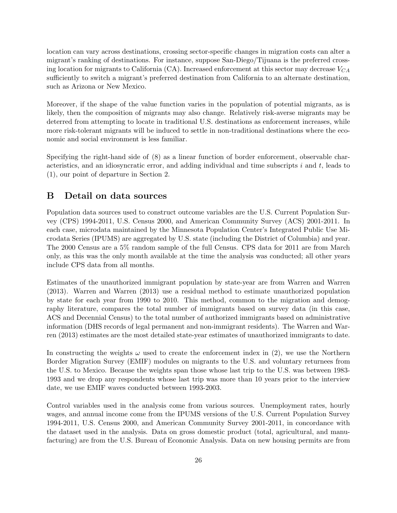location can vary across destinations, crossing sector-specific changes in migration costs can alter a migrant's ranking of destinations. For instance, suppose San-Diego/Tijuana is the preferred crossing location for migrants to California (CA). Increased enforcement at this sector may decrease  $V_{CA}$ sufficiently to switch a migrant's preferred destination from California to an alternate destination, such as Arizona or New Mexico.

Moreover, if the shape of the value function varies in the population of potential migrants, as is likely, then the composition of migrants may also change. Relatively risk-averse migrants may be deterred from attempting to locate in traditional U.S. destinations as enforcement increases, while more risk-tolerant migrants will be induced to settle in non-traditional destinations where the economic and social environment is less familiar.

Specifying the right-hand side of [\(8\)](#page-26-3) as a linear function of border enforcement, observable characteristics, and an idiosyncratic error, and adding individual and time subscripts  $i$  and  $t$ , leads to [\(1\)](#page-6-1), our point of departure in Section [2.](#page-6-2)

## <span id="page-27-0"></span>B Detail on data sources

Population data sources used to construct outcome variables are the U.S. Current Population Survey (CPS) 1994-2011, U.S. Census 2000, and American Community Survey (ACS) 2001-2011. In each case, microdata maintained by the Minnesota Population Center's Integrated Public Use Microdata Series (IPUMS) are aggregated by U.S. state (including the District of Columbia) and year. The 2000 Census are a 5% random sample of the full Census. CPS data for 2011 are from March only, as this was the only month available at the time the analysis was conducted; all other years include CPS data from all months.

Estimates of the unauthorized immigrant population by state-year are from Warren and Warren (2013). Warren and Warren (2013) use a residual method to estimate unauthorized population by state for each year from 1990 to 2010. This method, common to the migration and demography literature, compares the total number of immigrants based on survey data (in this case, ACS and Decennial Census) to the total number of authorized immigrants based on administrative information (DHS records of legal permanent and non-immigrant residents). The Warren and Warren (2013) estimates are the most detailed state-year estimates of unauthorized immigrants to date.

In constructing the weights  $\omega$  used to create the enforcement index in [\(2\)](#page-8-0), we use the Northern Border Migration Survey (EMIF) modules on migrants to the U.S. and voluntary returnees from the U.S. to Mexico. Because the weights span those whose last trip to the U.S. was between 1983- 1993 and we drop any respondents whose last trip was more than 10 years prior to the interview date, we use EMIF waves conducted between 1993-2003.

Control variables used in the analysis come from various sources. Unemployment rates, hourly wages, and annual income come from the IPUMS versions of the U.S. Current Population Survey 1994-2011, U.S. Census 2000, and American Community Survey 2001-2011, in concordance with the dataset used in the analysis. Data on gross domestic product (total, agricultural, and manufacturing) are from the U.S. Bureau of Economic Analysis. Data on new housing permits are from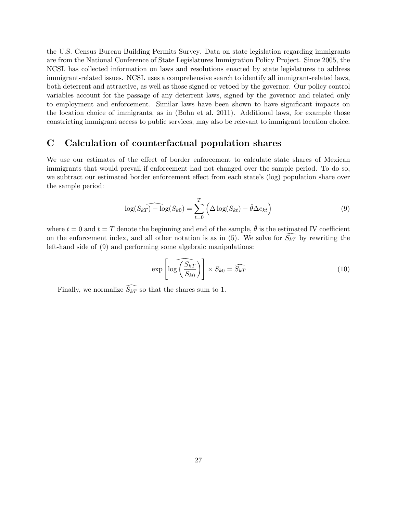the U.S. Census Bureau Building Permits Survey. Data on state legislation regarding immigrants are from the National Conference of State Legislatures Immigration Policy Project. Since 2005, the NCSL has collected information on laws and resolutions enacted by state legislatures to address immigrant-related issues. NCSL uses a comprehensive search to identify all immigrant-related laws, both deterrent and attractive, as well as those signed or vetoed by the governor. Our policy control variables account for the passage of any deterrent laws, signed by the governor and related only to employment and enforcement. Similar laws have been shown to have significant impacts on the location choice of immigrants, as in (Bohn et al. 2011). Additional laws, for example those constricting immigrant access to public services, may also be relevant to immigrant location choice.

# <span id="page-28-0"></span>C Calculation of counterfactual population shares

We use our estimates of the effect of border enforcement to calculate state shares of Mexican immigrants that would prevail if enforcement had not changed over the sample period. To do so, we subtract our estimated border enforcement effect from each state's (log) population share over the sample period:

<span id="page-28-1"></span>
$$
\log(S_{kT}) - \log(S_{k0}) = \sum_{t=0}^{T} \left( \Delta \log(S_{kt}) - \hat{\theta} \Delta e_{kt} \right)
$$
\n(9)

where  $t = 0$  and  $t = T$  denote the beginning and end of the sample,  $\hat{\theta}$  is the estimated IV coefficient on the enforcement index, and all other notation is as in  $(5)$ . We solve for  $S_{kT}$  by rewriting the left-hand side of [\(9\)](#page-28-1) and performing some algebraic manipulations:

$$
\exp\left[\log\left(\frac{\widehat{S_{kT}}}{S_{k0}}\right)\right] \times S_{k0} = \widehat{S_{kT}}\tag{10}
$$

Finally, we normalize  $\widehat{S_{kT}}$  so that the shares sum to 1.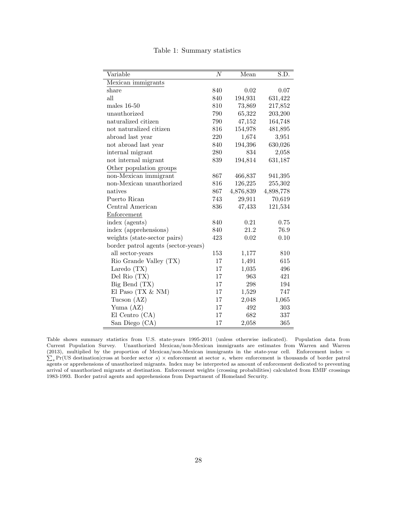<span id="page-29-0"></span>

| Variable                            | $\overline{N}$ | Mean      | $\overline{\text{S.D.}}$ |
|-------------------------------------|----------------|-----------|--------------------------|
| Mexican immigrants                  |                |           |                          |
| share                               | 840            | 0.02      | 0.07                     |
| all                                 | 840            | 194,931   | 631,422                  |
| males $16-50$                       | 810            | 73,869    | 217,852                  |
| unauthorized                        | 790            | 65,322    | 203,200                  |
| naturalized citizen                 | 790            | 47,152    | 164,748                  |
| not naturalized citizen             | 816            | 154,978   | 481,895                  |
| abroad last year                    | 220            | 1,674     | 3,951                    |
| not abroad last year                | 840            | 194,396   | 630,026                  |
| internal migrant                    | 280            | 834       | 2,058                    |
| not internal migrant                | 839            | 194,814   | 631,187                  |
| Other population groups             |                |           |                          |
| non-Mexican immigrant               | 867            | 466,837   | 941,395                  |
| non-Mexican unauthorized            | 816            | 126,225   | 255,302                  |
| natives                             | 867            | 4,876,839 | 4,898,778                |
| Puerto Rican                        | 743            | 29,911    | 70,619                   |
| Central American                    | 836            | 47,433    | 121,534                  |
| Enforcement                         |                |           |                          |
| index (agents)                      | 840            | 0.21      | 0.75                     |
| index (apprehensions)               | 840            | 21.2      | 76.9                     |
| weights (state-sector pairs)        | 423            | 0.02      | 0.10                     |
| border patrol agents (sector-years) |                |           |                          |
| all sector-years                    | 153            | 1,177     | 810                      |
| Rio Grande Valley (TX)              | 17             | 1,491     | 615                      |
| Laredo $(TX)$                       | 17             | 1,035     | 496                      |
| Del Rio $(TX)$                      | 17             | 963       | 421                      |
| $Big$ Bend $(TX)$                   | 17             | 298       | 194                      |
| El Paso $(TX \& NM)$                | 17             | 1,529     | 747                      |
| Tucson $(AZ)$                       | 17             | 2,048     | 1,065                    |
| Yuma (AZ)                           | 17             | 492       | 303                      |
| El Centro (CA)                      | 17             | 682       | 337                      |
| San Diego (CA)                      | 17             | 2,058     | 365                      |

Table 1: Summary statistics

Table shows summary statistics from U.S. state-years 1995-2011 (unless otherwise indicated). Population data from Current Population Survey. Unauthorized Mexican/non-Mexican immigrants are estimates from Warren and Warren (2013), multiplied by the proportion of Mexican/non-Mexican immigrants in the state-year cell. Enforcement index =  $\sum_s \Pr(\text{US destination}|\text{cross at border sector } s) \times \text{enforcement at sector } s, \text{ where enforcement is thousands of border part of the system).}$ agents or apprehensions of unauthorized migrants. Index may be interpreted as amount of enforcement dedicated to preventing arrival of unauthorized migrants at destination. Enforcement weights (crossing probabilities) calculated from EMIF crossings 1983-1993. Border patrol agents and apprehensions from Department of Homeland Security.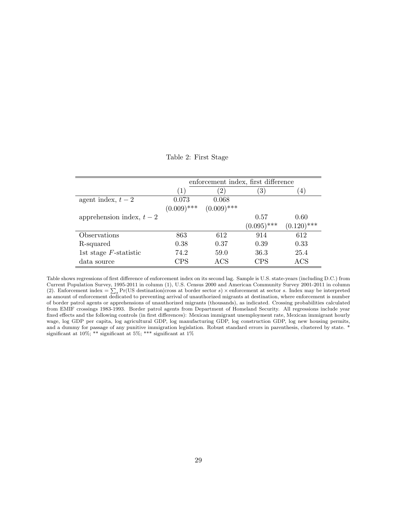Table 2: First Stage

<span id="page-30-0"></span>

|                           |                  | enforcement index, first difference |                  |                |
|---------------------------|------------------|-------------------------------------|------------------|----------------|
|                           | $\left(1\right)$ | $\left(2\right)$                    | $\left(3\right)$ | $\overline{4}$ |
| agent index, $t-2$        | 0.073            | 0.068                               |                  |                |
|                           | $(0.009)$ ***    | $(0.009)$ ***                       |                  |                |
| apprehension index, $t-2$ |                  |                                     | 0.57             | 0.60           |
|                           |                  |                                     | $(0.095)$ ***    | $(0.120)$ ***  |
| Observations              | 863              | 612                                 | 914              | 612            |
| R-squared                 | 0.38             | 0.37                                | 0.39             | 0.33           |
| 1st stage $F$ -statistic  | 74.2             | 59.0                                | 36.3             | 25.4           |
| data source               | CPS              | ACS                                 | $\mathrm{CPS}$   | ACS            |

Table shows regressions of first difference of enforcement index on its second lag. Sample is U.S. state-years (including D.C.) from Current Population Survey, 1995-2011 in column (1), U.S. Census 2000 and American Community Survey 2001-2011 in column (2). Enforcement index  $=\sum_s \Pr(\text{US destination}|\text{cross at border sector } s) \times \text{enforcement at sector } s$ . Index may be interpreted as amount of enforcement dedicated to preventing arrival of unauthorized migrants at destination, where enforcement is number of border patrol agents or apprehensions of unauthorized migrants (thousands), as indicated. Crossing probabilities calculated from EMIF crossings 1983-1993. Border patrol agents from Department of Homeland Security. All regressions include year fixed effects and the following controls (in first differences): Mexican immigrant unemployment rate, Mexican immigrant hourly wage, log GDP per capita, log agricultural GDP, log manufacturing GDP, log construction GDP, log new housing permits, and a dummy for passage of any punitive immigration legislation. Robust standard errors in parenthesis, clustered by state. \* significant at 10%; \*\* significant at 5%; \*\*\* significant at 1%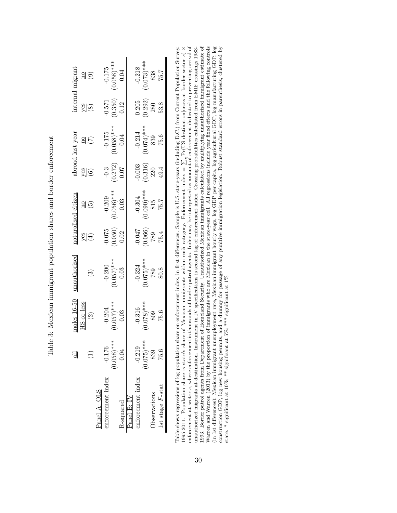| $-0.003$<br>$(0.316)$<br>$220$<br>$49.4$<br>$\begin{array}{c} -0.3 \\ (0.272) \\ 0.07 \end{array}$<br>$rac{6}{6}$<br>$\begin{array}{c} -0.209 \\ (0.056)^{***} \\ 0.03 \end{array}$<br>$-304$<br>$(0.090)***$<br>$815$<br>$815$<br>$815$<br>$\frac{20}{5}$<br>$75.4$<br>$(9.0000)$<br>$(9.0000)$<br>$(1500)$<br>$\begin{array}{c} 0.075 \\ 0.050) \\ 0.02 \end{array}$<br>$\frac{\text{S}}{\text{G}}$<br>$\begin{array}{c} -0.324 \\ 0.075)^{***} \\ 789 \\ 80.8 \end{array}$<br>$\frac{-0.200}{0.057}$ ***<br>0.057)<br>$\widehat{\mathbb{C}}$<br>$\frac{1}{12}$ or less<br>$\frac{-0.204}{0.057}$ ***<br>0.057)<br>$\frac{-0.316}{0.078}$<br>$\frac{809}{0.809}$<br>$\widetilde{2}$<br>$(0.058)$ ***<br>$0.075$ ) ***<br>$-0.219$<br>$-0.176$<br>0.04<br>839<br>enforcement index<br>enforcement index<br>Panel A: OLS<br><b>D</b> servations<br>$Panel}$ B: $IN$<br>R-squared |                       |      | $\frac{\text{nales}}{16-50}$ | mauthorized | aturalized citizer | broad last year                                                       | nternal                                                        | migran                                                                         |
|----------------------------------------------------------------------------------------------------------------------------------------------------------------------------------------------------------------------------------------------------------------------------------------------------------------------------------------------------------------------------------------------------------------------------------------------------------------------------------------------------------------------------------------------------------------------------------------------------------------------------------------------------------------------------------------------------------------------------------------------------------------------------------------------------------------------------------------------------------------------------------|-----------------------|------|------------------------------|-------------|--------------------|-----------------------------------------------------------------------|----------------------------------------------------------------|--------------------------------------------------------------------------------|
|                                                                                                                                                                                                                                                                                                                                                                                                                                                                                                                                                                                                                                                                                                                                                                                                                                                                                  |                       |      |                              |             |                    |                                                                       | $\frac{1}{8}$                                                  |                                                                                |
|                                                                                                                                                                                                                                                                                                                                                                                                                                                                                                                                                                                                                                                                                                                                                                                                                                                                                  |                       |      |                              |             |                    | $\frac{2}{5}$                                                         |                                                                | $\frac{2}{10}$                                                                 |
|                                                                                                                                                                                                                                                                                                                                                                                                                                                                                                                                                                                                                                                                                                                                                                                                                                                                                  |                       |      |                              |             |                    |                                                                       |                                                                |                                                                                |
|                                                                                                                                                                                                                                                                                                                                                                                                                                                                                                                                                                                                                                                                                                                                                                                                                                                                                  |                       |      |                              |             |                    |                                                                       |                                                                |                                                                                |
|                                                                                                                                                                                                                                                                                                                                                                                                                                                                                                                                                                                                                                                                                                                                                                                                                                                                                  |                       |      |                              |             |                    | $\begin{array}{c} -0.175 \ (0.058)^{***} \ (0.058)^{***} \end{array}$ | $\frac{-0.571}{(0.350)}$<br>0.12                               | $\frac{-0.175}{0.058}$<br>***<br>0.058)                                        |
|                                                                                                                                                                                                                                                                                                                                                                                                                                                                                                                                                                                                                                                                                                                                                                                                                                                                                  |                       |      |                              |             |                    |                                                                       |                                                                |                                                                                |
|                                                                                                                                                                                                                                                                                                                                                                                                                                                                                                                                                                                                                                                                                                                                                                                                                                                                                  |                       |      |                              |             |                    |                                                                       |                                                                |                                                                                |
|                                                                                                                                                                                                                                                                                                                                                                                                                                                                                                                                                                                                                                                                                                                                                                                                                                                                                  |                       |      |                              |             |                    |                                                                       |                                                                |                                                                                |
|                                                                                                                                                                                                                                                                                                                                                                                                                                                                                                                                                                                                                                                                                                                                                                                                                                                                                  |                       |      |                              |             |                    | $-0.214$<br>$(0.074)***$<br>$839$<br>$75.6$                           | $\begin{array}{c} 0.205 \\ (0.292) \\ 280 \\ 53.8 \end{array}$ | $\begin{array}{c} -0.218 \\ (0.073) \ast \ast \ast \\ 838 \\ 75.7 \end{array}$ |
|                                                                                                                                                                                                                                                                                                                                                                                                                                                                                                                                                                                                                                                                                                                                                                                                                                                                                  |                       |      |                              |             |                    |                                                                       |                                                                |                                                                                |
|                                                                                                                                                                                                                                                                                                                                                                                                                                                                                                                                                                                                                                                                                                                                                                                                                                                                                  | $1st$ stage $F$ -stat | 75.6 |                              |             |                    |                                                                       |                                                                |                                                                                |

<span id="page-31-0"></span>Table 3: Mexican immigrant population shares and border enforcement Table 3: Mexican immigrant population shares and border enforcement

Warren and Warren (2013) by the proportion of immigrants who are Mexican in the state-year cell. All regressions include year faced effects and the following controls (in 1st differences): Mexican immigrant unemployment r unauthorized migrants at destination. Instrument in IV specifications is second lag of enforcement index. Crossing probabilities calculated from EMIF crossings 1983-1993. Border patrol agents from Department of Homeland Security. Unauthorized Mexican immigrants calculated by multiplying unauthorized immigrant estimate of Table shows regressions of log population share on enforcement index, in first differences. Sample is U.S. state-years (including D.C.) from Current Population Survey, enforcement at sector s, where enforcement is thousands of border patrol agents. Index may be interpreted as amount of enforcement dedicated to preventing arrival of Table shows regressions of log population share on enforcement index, in first differences. Sample is U.S. state-years (including D.C.) from Current Population Survey, unauthorized migrants at destination. Instrument in IV specifications is second lag of enforcement index. Crossing probabilities calculated from EMIF crossings 1983- 1993. Border patrol agents from Department of Homeland Security. Unauthorized Mexican immigrants calculated by multiplying unauthorized immigrant estimate of Warren and Warren (2013) by the proportion of immigrants who are Mexican in the state-year cell. All regressions include year fixed effects and the following controls (in 1st differences): Mexican immigrant unemployment rate, Mexican immigrant hourly wage, log GDP per capita, log agricultural GDP, log manufacturing GDP, log construction GDP, log new housing permits, and a dummy for passage of any punitive immigration legislation. Robust standard errors in parenthesis, clustered by  $\sum_{i=1}^{n} Pr(US \text{ destination}|\text{cross at border sector } s) \times$  $\triangleright$ 1995-2011. Population share is state's share of Mexican immigrants within each category. Enforcement index = state. \* significant at 10%; \*\* significant at 5%; \*\*\* significant at 1%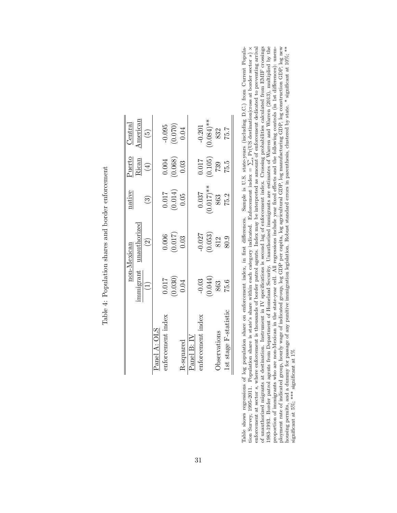|                       |                                                        | non-Mexican                                             | native                                                | $r$ <u>uert</u> o                                      | Central                                                  |
|-----------------------|--------------------------------------------------------|---------------------------------------------------------|-------------------------------------------------------|--------------------------------------------------------|----------------------------------------------------------|
|                       | mmigrant                                               | unauthorized                                            |                                                       | Rican                                                  | Imerican                                                 |
|                       | $\left(\frac{1}{2}\right)$                             | $\odot$                                                 | $\widetilde{\mathbb{C}}$                              | $\tag{4}$                                              | (5)                                                      |
| Panel A: OLS          |                                                        |                                                         |                                                       |                                                        |                                                          |
| enforcement index     |                                                        |                                                         |                                                       |                                                        |                                                          |
|                       | $\begin{array}{c} 0.017 \\ 0.030) \\ 0.04 \end{array}$ | $\begin{array}{c} 0.006 \\ (0.017) \\ 0.03 \end{array}$ | $\begin{array}{c} 0.017 \\ 0.014 \end{array}$<br>0.05 | $\begin{array}{c} 0.004 \\ 0.068) \\ 0.03 \end{array}$ | $\begin{array}{c} -0.095 \\ (0.070) \\ 0.04 \end{array}$ |
| R-squared             |                                                        |                                                         |                                                       |                                                        |                                                          |
| $P$ anel B: $IV$      |                                                        |                                                         |                                                       |                                                        |                                                          |
| enforcement index     | $-0.03$                                                | $-0.027$                                                | 0.037                                                 | 0.017                                                  | $-0.201$                                                 |
|                       | $\begin{array}{c} (0.044) \\ 863 \end{array}$          | $\begin{array}{c} (0.053) \\ 812 \end{array}$           | $(0.017)$ <sup>**</sup><br>863                        | $\begin{array}{c} (0.105) \\ 739 \end{array}$          | $0.084$ <sup>**</sup>                                    |
| Observations          |                                                        |                                                         |                                                       |                                                        | 832                                                      |
| 1st stage F-statistic | 75.6                                                   | 80.9                                                    | 75.2                                                  | 75.5                                                   | 75.7                                                     |

<span id="page-32-0"></span>Table 4: Population shares and border enforcement Table 4: Population shares and border enforcement

1983-1993. Boder patrol agents from Department of Homeland Security. Unauthorized immigrants are estimates of Warren and Warren (2013), multiplied by the proportion of immigrants who are non-Mexican in the state-year cell Table shows regressions of log population share on enforcement index, in first differences. Sample is U.S. state-years (including D.C.) from Current Population Survey, 1995-2011. Population share is state's share within e of unauthorized migrants at destination. Instrument in IV specifications is second lag of enforcement index. Crossing probabilities calculated from EMIF crossings Table shows regressions of log population share on enforcement index, in first differences. Sample is U.S. state-years (including D.C.) from Current Populaenforcement at sector s, where enforcement is thousands of border patrol agents. Index may be interpreted as amount of enforcement dedicated to preventing arrival of unauthorized migrants at destination. Instrument in IV specifications is second lag of enforcement index. Crossing probabilities calculated from EMIF crossings 1983-1993. Border patrol agents from Department of Homeland Security. Unauthorized immigrants are estimates of Warren and Warren (2013), multiplied by the proportion of immigrants who are non-Mexican in the state-year cell. All regressions include year fixed effects and the following controls (in 1st differences): unemployment rate of indicated group, hourly wage of indicated group, log GDP per capita, log agricultural GDP, log manufacturing GDP, log construction GDP, log new housing permits, and a dummy for passage of any punitive immigration legislation. Robust standard errors in parenthesis, clustered by state. \* significant at 10%; \*\* tion Survey, 1995-2011. Population share is state's share within each category indicated. Enforcement index =  $\sum_{s}$ Pr(US destination|cross at border sector s)  $\times$ significant at 5%; \*\*\* significant at 1%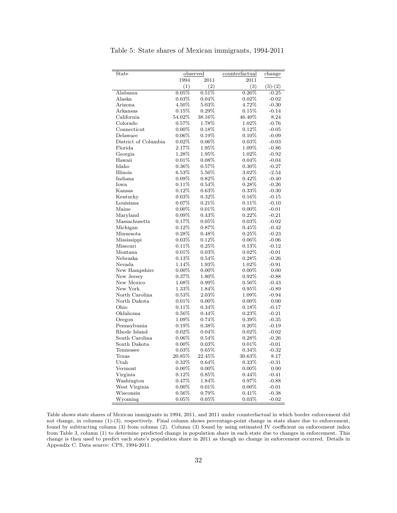| State                |           | observed | counterfactual | change    |
|----------------------|-----------|----------|----------------|-----------|
|                      | 1994      | 2011     | 2011           |           |
|                      | (1)       | (2)      | (3)            | $(3)-(2)$ |
| Alabama              | 0.05%     | 0.51%    | 0.26%          | $-0.25$   |
| Alaska               | 0.03%     | 0.04%    | 0.02%          | $-0.02$   |
| Arizona              | $4.50\%$  | 5.03%    | 4.72%          | $-0.30$   |
| Arkansas             | $0.15\%$  | $0.29\%$ | 0.15%          | $-0.14$   |
| California           | $54.02\%$ | 38.16%   | 46.40%         | 8.24      |
| Colorado             | $0.57\%$  | 1.78%    | 1.02%          | $-0.76$   |
| Connecticut          | $0.00\%$  | 0.18%    | 0.12%          | $-0.05$   |
| Delaware             | $0.06\%$  | 0.19%    | 0.10%          | $-0.09$   |
| District of Columbia | 0.02%     | 0.06%    | 0.03%          | $-0.03$   |
| Florida              | 2.17%     | 1.95%    | 1.09%          | $-0.86$   |
| Georgia              | 1.28%     | 1.95%    | 1.02%          | $-0.92$   |
| Hawaii               | 0.01%     | $0.08\%$ | 0.04%          | $-0.04$   |
| Idaho                | 0.36%     | 0.57%    | $0.30\%$       | $-0.27$   |
| Illinois             | 6.53%     | 5.56%    | 3.02%          | $-2.54$   |
| Indiana              | $0.09\%$  | 0.82%    | 0.42%          | $-0.40$   |
| Iowa                 | 0.11%     | 0.54%    | 0.28%          | $-0.26$   |
| Kansas               | 0.12%     | 0.63%    | 0.33%          | $-0.30$   |
| Kentucky             | $0.03\%$  | 0.32%    | 0.16%          | $-0.15$   |
| Louisiana            | 0.07%     | 0.21%    | 0.11%          | $-0.10$   |
| Maine                | $0.00\%$  | 0.01%    | $0.00\%$       | $-0.01$   |
| Maryland             | 0.09%     | 0.43%    | $0.22\%$       | $-0.21$   |
| Massachusetts        | 0.17%     | 0.05%    | 0.03%          | $-0.02$   |
| Michigan             | 0.12%     | 0.87%    | 0.45%          | $-0.42$   |
| Minnesota            | 0.28%     | 0.48%    | 0.25%          | $-0.23$   |
| Mississippi          | 0.03%     | 0.12%    | $0.06\%$       | $-0.06$   |
| Missouri             | $0.11\%$  | 0.25%    | 0.13%          | $-0.12$   |
| Montana              | 0.01%     | 0.03%    | 0.02%          | $-0.01$   |
| Nebraska             | 0.13%     | 0.54%    | 0.28%          | $-0.26$   |
| Nevada               | 1.14%     | 1.93%    | 1.02%          | $-0.91$   |
| New Hampshire        | $0.00\%$  | $0.00\%$ | $0.00\%$       | 0.00      |
| New Jersey           | $0.37\%$  | 1.80%    | $0.92\%$       | $-0.88$   |
| New Mexico           | 1.08%     | 0.99%    | 0.56%          | $-0.43$   |
| New York             | 1.33%     | 1.84%    | 0.95%          | $-0.89$   |
| North Carolina       | 0.53%     | 2.03%    | 1.09%          | $-0.94$   |
| North Dakota         | 0.01%     | $0.00\%$ | $0.00\%$       | 0.00      |
| Ohio                 | 0.11%     | 0.34%    | 0.18%          | $-0.17$   |
| Oklahoma             | $0.56\%$  | 0.44%    | 0.23%          | $-0.21$   |
| Oregon               | 1.09%     | 0.74%    | 0.39%          | $-0.35$   |
| Pennsylvania         | $0.19\%$  | $0.38\%$ | $0.20\%$       | $-0.19$   |
| Rhode Island         | 0.02%     | 0.04%    | 0.02%          | $-0.02$   |
| South Carolina       | $0.06\%$  | 0.54%    | 0.28%          | $-0.26$   |
| South Dakota         | $0.00\%$  | $0.03\%$ | $0.01\%$       | $-0.01$   |
| Tennessee            | 0.03%     | $0.65\%$ | 0.34%          | $-0.32$   |
| Texas                | 20.85%    | 22.45%   | 30.63%         | 8.17      |
| Utah                 | 0.32%     | 0.64%    | 0.33%          | $-0.31$   |
| Vermont              | $0.00\%$  | $0.00\%$ | $0.00\%$       | 0.00      |
| Virginia             | 0.12%     | 0.85%    | $0.44\%$       | $-0.41$   |
| Washington           | 0.47%     | 1.84%    | 0.97%          | $-0.88$   |
| West Virginia        | $0.00\%$  | 0.01%    | $0.00\%$       | $-0.01$   |
| Wisconsin            | 0.56%     | 0.79%    | 0.41%          | $-0.38$   |
| Wyoming              | $0.05\%$  | 0.05%    | $0.03\%$       | $-0.02$   |

<span id="page-33-0"></span>Table 5: State shares of Mexican immigrants, 1994-2011

Table shows state shares of Mexican immigrants in 1994, 2011, and 2011 under counterfactual in which border enforcement did not change, in columns (1)-(3), respectively. Final column shows percentage-point change in state share due to enforcement, found by subtracting column (3) from column (2). Column (3) found by using estimated IV coefficient on enforcement index from Table [3,](#page-31-0) column (1) to determine predicted change in population share in each state due to changes in enforcement. This change is then used to predict each state's population share in 2011 as though no change in enforcement occurred. Details in Appendix [C.](#page-28-0) Data source: CPS, 1994-2011.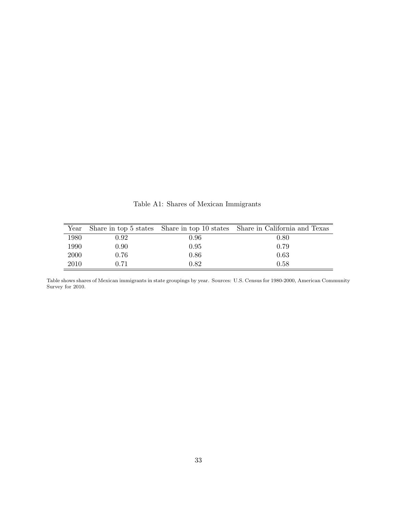<span id="page-34-0"></span>

| Year |          |          | Share in top 5 states Share in top 10 states Share in California and Texas |
|------|----------|----------|----------------------------------------------------------------------------|
| 1980 | 0.92     | 0.96     | 0.80                                                                       |
| 1990 | $0.90\,$ | 0.95     | 0.79                                                                       |
| 2000 | 0.76     | $0.86\,$ | 0.63                                                                       |
| 2010 | 0.71     | 0.82     | 0.58                                                                       |

Table A1: Shares of Mexican Immigrants

Table shows shares of Mexican immigrants in state groupings by year. Sources: U.S. Census for 1980-2000, American Community Survey for 2010.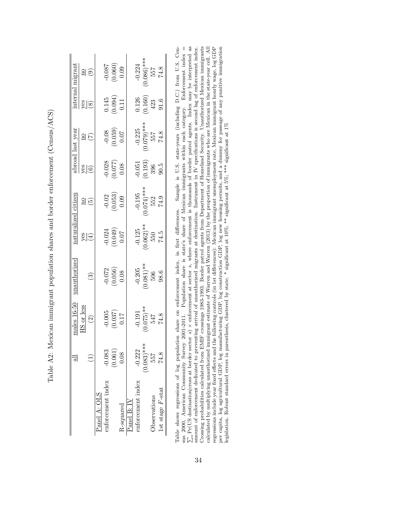|                       |                   | $_{\text{aales 16-5}}$                                    | nauthorized                                 |                                    | aturalized citizer                                      |                                                                 | broad last year                                          |                                                                                             |                                                        |
|-----------------------|-------------------|-----------------------------------------------------------|---------------------------------------------|------------------------------------|---------------------------------------------------------|-----------------------------------------------------------------|----------------------------------------------------------|---------------------------------------------------------------------------------------------|--------------------------------------------------------|
|                       |                   | S or less                                                 |                                             |                                    |                                                         |                                                                 |                                                          |                                                                                             |                                                        |
|                       |                   | $\widehat{\Omega}$                                        | $\widehat{\mathbb{G}}$                      | $\frac{\text{S}}{\text{S}}$        | $\frac{20}{5}$                                          | $\frac{8}{6}$                                                   | $\frac{20}{5}$                                           |                                                                                             |                                                        |
| Panel A: OLS          |                   |                                                           |                                             |                                    |                                                         |                                                                 |                                                          |                                                                                             |                                                        |
| inforcement index     | $-0.083$          |                                                           |                                             |                                    |                                                         |                                                                 |                                                          |                                                                                             |                                                        |
|                       | $(0.061)$<br>0.08 | $\begin{array}{c} 0.005 \\ 0.037 \end{array}$<br>$(150.0$ | $\frac{0.072}{0.056}$                       | $-0.024$<br>$0.049$<br>$0.07$      | $\begin{array}{c} -0.02 \\ 0.053 \end{array}$<br>0.053) | $\begin{array}{c} 0.028 \\ 0.077) \\ 0.08 \end{array}$          | $\begin{array}{c} 70.08 \\ (620.0) \\ 0.059 \end{array}$ | $\begin{array}{c} 0.145 \\ 0.094 \end{array}$<br>0.11                                       | $\begin{array}{c} 0.087 \\ 0.060) \\ 0.09 \end{array}$ |
| R-squared             |                   |                                                           |                                             |                                    |                                                         |                                                                 |                                                          |                                                                                             |                                                        |
| Panel B: IV           |                   |                                                           |                                             |                                    |                                                         |                                                                 |                                                          |                                                                                             |                                                        |
| inforcement index     | $-0.222$          |                                                           |                                             |                                    |                                                         |                                                                 |                                                          |                                                                                             |                                                        |
|                       | $0.083)$ ***      | $74.8$<br>74.8<br>74.8<br>74.8                            | $\frac{-0.205}{(0.081)^{**}}$<br>506<br>506 | $-0.125$<br>0.062)**<br>550<br>550 | $-0.195$<br>0.074)***<br>552<br>552                     | $\begin{array}{c} -0.051 \\ (0.193) \\ 396 \\ 90.5 \end{array}$ | $-0.225$<br>$0.079)***$<br>$557$<br>$74.8$               | $\begin{array}{c} 0.126 \\ 0.160 \end{array}$<br>$\begin{array}{c} 423 \\ 91.6 \end{array}$ | $-0.224$<br>$(0.086)***$<br>$557$<br>74.8              |
| <b>O</b> servations   | 557               |                                                           |                                             |                                    |                                                         |                                                                 |                                                          |                                                                                             |                                                        |
| $1st$ stage $F$ -stat |                   |                                                           |                                             |                                    |                                                         |                                                                 |                                                          |                                                                                             |                                                        |

<span id="page-35-0"></span>Table A2: Mexican immigrant population shares and border enforcement (Census/ACS) Table A2: Mexican immigrant population shares and border enforcement (Census/ACS)

Crossing probabilities calculated from EMIF crossings 1983-1993. Border patrol agents from Department of Homeland Security. Unauthorized Mexican immigrants collected by multiplying unauthorized immigrant estimate of Warren and Warren (2013) by the proportion of immigrants who are Mexican in the state-year cell. All all the state-year cell. All all all all all all all all all regressions include year fixed effects and the following controls (in 1st differences): Mexican immigrant unemployment rate, Mexican immigrant hourly wage, log GDP Sample is U.S. state-years (including D.C.) from U.S. Cen-Enforcement index  $=$ per capita, log agricultural GDP, log manufacturing GDP, log construction GDP, log new housing permits, and a dummy for passage of any punitive immigration legislation. Robust standard errors in parenthesis, clustered by s Table shows regressions of log population share on enforcement index, in first differences. Sample is U.S. state-years (including D.C.) from U.S. Census 2000, American Community Survey 2001-2011. Population share is state's share of Mexican immigrants within each category. Enforcement index =  $\sum_s \Pr(\text{US destination}|\text{cross at border})$  × enforcement at sector s, where enforcement is thousan Pr(US destination|cross at border sector s)  $\times$  enforcement at sector s, where enforcement is thousands of border patrol agents. Index may be interpreted as  $\frac{1}{2}$  and  $\frac{1}{2}$  and  $\frac{1}{2}$  and  $\frac{1}{2}$  and  $\frac{1}{2$ amount of enforcement dedicated to preventing arrival of unauthorized migrants at destination. Instrument in IV specifications is second lag of enforcement index. Crossing probabilities calculated from EMIF crossings 1983-1993. Border patrol agents from Department of Homeland Security. Unauthorized Mexican immigrants calculated by multiplying unauthorized immigrant estimate of Warren and Warren (2013) by the proportion of immigrants who are Mexican in the state-year cell. All regressions include year fixed effects and the following controls (in 1st differences): Mexican immigrant unemployment rate, Mexican immigrant hourly wage, log GDP per capita, log agricultural GDP, log manufacturing GDP, log construction GDP, log new housing permits, and a dummy for passage of any punitive immigration sus 2000, American Community Survey 2001-2011. Population share is state's share of Mexican immigrants within each category. legislation. Robust standard errors in parenthesis, clustered by state. \* significant at 10%; \*\* significant at 5%; \*\*\* significant at 1% Table shows regressions of log population share on enforcement index, in first differences.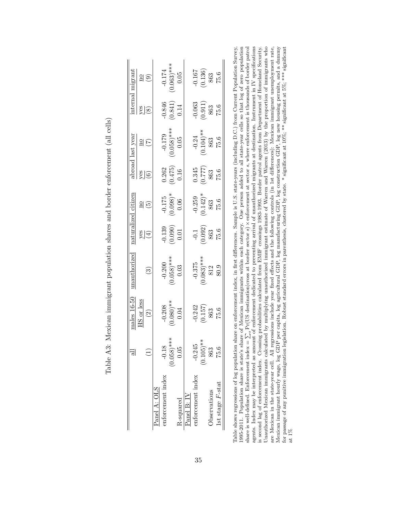|                       | $\exists$                             |                                                | nauthorized                                     | aturalizec                                              | citizer                               |                                                 | broad last year                         |                                                               |                                                                                                                    |
|-----------------------|---------------------------------------|------------------------------------------------|-------------------------------------------------|---------------------------------------------------------|---------------------------------------|-------------------------------------------------|-----------------------------------------|---------------------------------------------------------------|--------------------------------------------------------------------------------------------------------------------|
|                       |                                       | $\frac{\text{males }16-50}{\text{HS or less}}$ |                                                 |                                                         |                                       |                                                 |                                         |                                                               |                                                                                                                    |
|                       |                                       | $\binom{2}{3}$                                 | $\widehat{S}$                                   | $\frac{1}{\sqrt{2}}$                                    | $\frac{20}{5}$                        | $rac{6}{6}$                                     | $\frac{20}{2}$                          |                                                               | $\begin{tabular}{l} \underline{internal}\ \underline{migrant} \\ \underline{yes} \\ \underline{(8)} \end{tabular}$ |
| Panel A: OLS          |                                       |                                                |                                                 |                                                         |                                       |                                                 |                                         |                                                               |                                                                                                                    |
| enforcement index     | $-0.18$                               |                                                |                                                 |                                                         |                                       |                                                 |                                         |                                                               |                                                                                                                    |
|                       | $* \times$<br>$(0.058)*$              | $\frac{10.208}{0.080}$ **<br>0.080)            | $\frac{-0.200}{0.058}$ <sup>***</sup><br>0.058) | $\begin{array}{c} -0.139 \\ 0.090) \\ 0.01 \end{array}$ | $\frac{-0.175}{0.098}$ *              | $\frac{0.262}{0.475}$<br>0.16                   | $-0.179$<br>$(0.058)***$<br>$0.05$      | $\frac{0.846}{0.841}$<br>0.14                                 | $-0.174$<br>0.063)***<br>0.05                                                                                      |
| R-squared             | 0.05                                  |                                                |                                                 |                                                         |                                       |                                                 |                                         |                                                               |                                                                                                                    |
| Panel B: IV           |                                       |                                                |                                                 |                                                         |                                       |                                                 |                                         |                                                               |                                                                                                                    |
| enforcement index     | $-0.245$                              |                                                |                                                 |                                                         |                                       |                                                 |                                         |                                                               |                                                                                                                    |
|                       | $\stackrel{*}{\ast}$<br>$(0.105)^{s}$ | $\frac{0.242}{0.157}$<br>$\frac{863}{75.6}$    | $\frac{-0.375}{0.083}$<br>$\frac{812}{812}$     | $\frac{-0.1}{0.092}$<br>$\frac{863}{75.6}$              | $\frac{-0.259}{0.142}$<br>863<br>75.6 | $\frac{(0.345)}{(0.777)}$<br>$\frac{863}{75.6}$ | $\frac{-0.24}{0.104}$ **<br>863<br>75.6 | $\begin{array}{c} 0.063 \\ 0.911) \\ 863 \\ 75.6 \end{array}$ | $\begin{array}{c} 0.167 \\ 0.136) \\ 863 \\ 75.6 \end{array}$                                                      |
| Observations          | 863                                   |                                                |                                                 |                                                         |                                       |                                                 |                                         |                                                               |                                                                                                                    |
| $1st$ stage $F$ -stat | 75.6                                  |                                                |                                                 |                                                         |                                       |                                                 |                                         |                                                               |                                                                                                                    |

Table A3: Mexican immigrant population shares and border enforcement (all cells) Table A3: Mexican immigrant population shares and border enforcement (all cells)

<span id="page-36-0"></span>agents. Index may be interpreted as amount of enforcement dedicated to preventing arrival of unauthorized migrants at destination. Instrument in IV specifications is second lag of enforcement index. Crossing probabilities Unauthorized Mexican immigrants calculated by multiplying unauthorized immigrant estimate of Warren and Warren (2013) by the proportion of immigrants who are Mexican in the state-year cell. All regressions include year fixed effects and the following controls (in 1st differences): Mexican immigrant unemployment rate, Mexican immigrant hourly wage, log GDP per capita, log a Table shows regressions of log population share on enforcement index, in first differences. Sample is U.S. state-years (including D.C.) from Current Population Survey, 1995-2011. Population share is state's share of Mexican immigrants within each category. One person added to all state-year cells so that log of zero population  $\sum_{s} \Pr(\text{US destination}|\text{cross at border sector } s) \times \text{entforcement at sector } s$ , where enforcement is thousands of border patrol agents. Index may be interpreted as amount of enforcement dedicated to preventing arrival of unauthorized migrants at destination. Instrument in IV specifications is second lag of enforcement index. Crossing probabilities calculated from EMIF crossings 1983-1993. Border patrol agents from Department of Homeland Security. Unauthorized Mexican immigrants calculated by multiplying unauthorized immigrant estimate of Warren and Warren (2013) by the proportion of immigrants who are Mexican in the state-year cell. All regressions include year fixed effects and the following controls (in 1st differences): Mexican immigrant unemployment rate, Mexican immigrant hourly wage, log GDP per capita, log agricultural GDP, log manufacturing GDP, log construction GDP, log new housing permits, and a dummy for passage of any punitive immigration legislation. Robust standard errors in parenthesis, clustered by state. \* significant at 10%; \*\* significant at 5%; \*\*\* significant  $\mathbb{N}$ share is well-defined. Enforcement index  $=$ <br> $\frac{1}{2}$ at 1%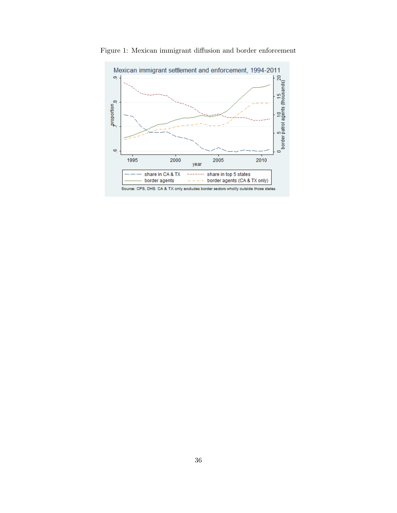

<span id="page-37-0"></span>Figure 1: Mexican immigrant diffusion and border enforcement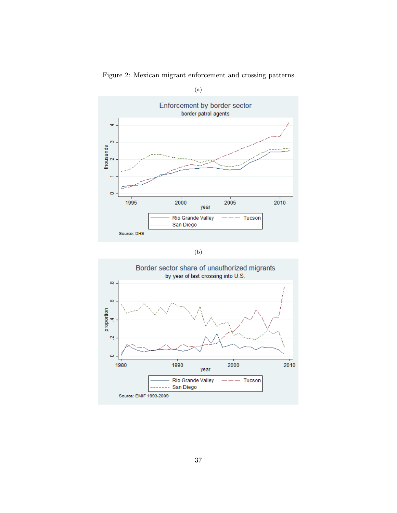

Figure 2: Mexican migrant enforcement and crossing patterns

| ٠            |  |
|--------------|--|
| ۰.<br>$\sim$ |  |
|              |  |

<span id="page-38-0"></span>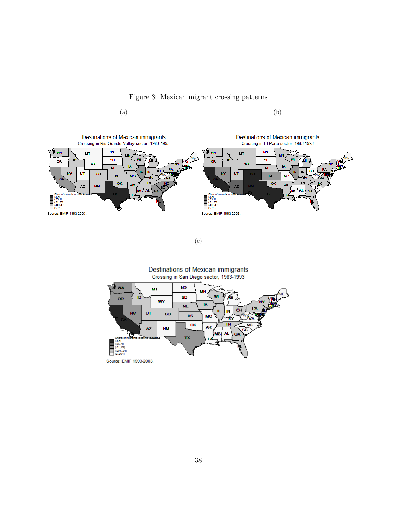Figure 3: Mexican migrant crossing patterns





(c)

<span id="page-39-0"></span>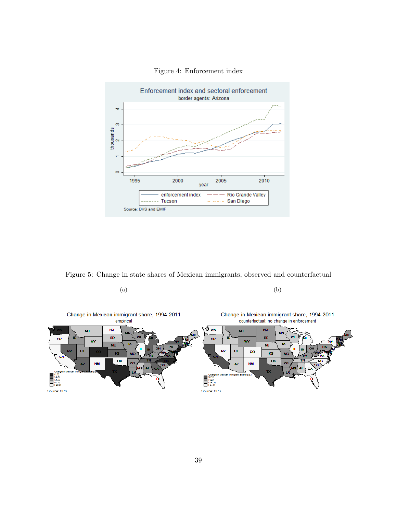<span id="page-40-0"></span>

Figure 4: Enforcement index

Figure 5: Change in state shares of Mexican immigrants, observed and counterfactual

 $(a)$  (b)

<span id="page-40-1"></span>

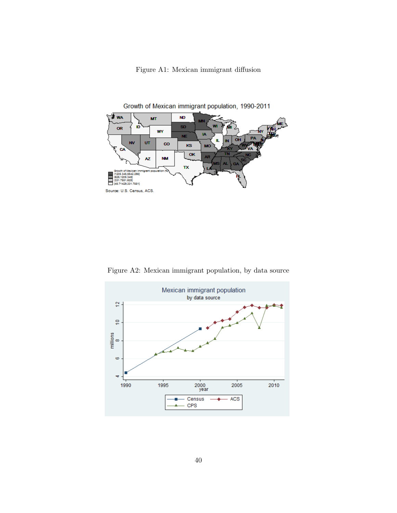

<span id="page-41-0"></span>

Figure A2: Mexican immigrant population, by data source

<span id="page-41-1"></span>